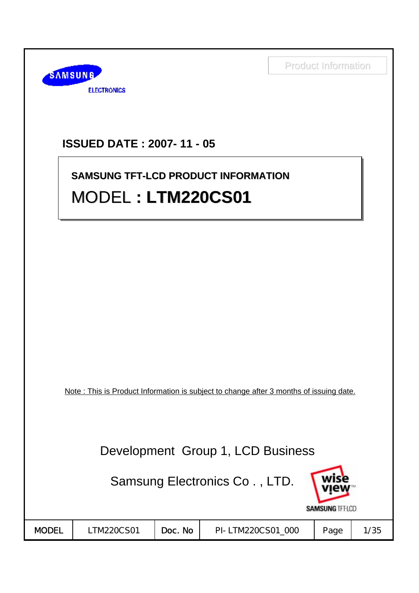

### **ISSUED DATE : 2007- 11 - 05**

# **SAMSUNG TFT-LCD PRODUCT INFORMATION SAMSUNG TFT-LCD PRODUCT INFORMATION** MODEL **: LTM220CS01** MODEL **: LTM220CS01 : LTM220CS01**

Note : This is Product Information is subject to change after 3 months of issuing date.

Development Group 1, LCD Business

Samsung Electronics Co . , LTD.



| <b>MODEL</b> | TM220CS01 | No<br>Doc. | PI-LTM220CS01 000 | Page | /35 |  |
|--------------|-----------|------------|-------------------|------|-----|--|
|--------------|-----------|------------|-------------------|------|-----|--|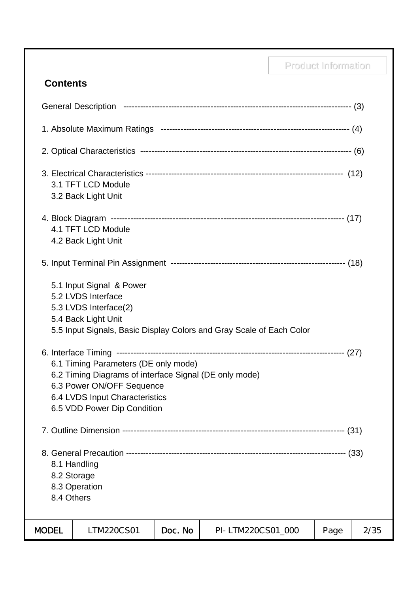|                                                                                                                                                                                                                                                                                                                                                                        |                                           | <b>Product Information</b> |                   |  |      |      |
|------------------------------------------------------------------------------------------------------------------------------------------------------------------------------------------------------------------------------------------------------------------------------------------------------------------------------------------------------------------------|-------------------------------------------|----------------------------|-------------------|--|------|------|
| <b>Contents</b>                                                                                                                                                                                                                                                                                                                                                        |                                           |                            |                   |  |      |      |
|                                                                                                                                                                                                                                                                                                                                                                        |                                           |                            |                   |  |      |      |
|                                                                                                                                                                                                                                                                                                                                                                        |                                           |                            |                   |  |      |      |
|                                                                                                                                                                                                                                                                                                                                                                        |                                           |                            |                   |  |      |      |
|                                                                                                                                                                                                                                                                                                                                                                        | 3.1 TFT LCD Module<br>3.2 Back Light Unit |                            |                   |  |      |      |
|                                                                                                                                                                                                                                                                                                                                                                        | 4.1 TFT LCD Module<br>4.2 Back Light Unit |                            |                   |  |      |      |
|                                                                                                                                                                                                                                                                                                                                                                        |                                           |                            |                   |  |      |      |
| 5.1 Input Signal & Power<br>5.2 LVDS Interface<br>5.3 LVDS Interface(2)<br>5.4 Back Light Unit<br>5.5 Input Signals, Basic Display Colors and Gray Scale of Each Color<br>6.1 Timing Parameters (DE only mode)<br>6.2 Timing Diagrams of interface Signal (DE only mode)<br>6.3 Power ON/OFF Sequence<br>6.4 LVDS Input Characteristics<br>6.5 VDD Power Dip Condition |                                           |                            |                   |  |      |      |
|                                                                                                                                                                                                                                                                                                                                                                        |                                           |                            |                   |  |      |      |
| 8.2 Storage<br>8.4 Others                                                                                                                                                                                                                                                                                                                                              | 8.1 Handling<br>8.3 Operation             |                            |                   |  |      |      |
| <b>MODEL</b>                                                                                                                                                                                                                                                                                                                                                           | LTM220CS01                                | Doc. No                    | PI-LTM220CS01_000 |  | Page | 2/35 |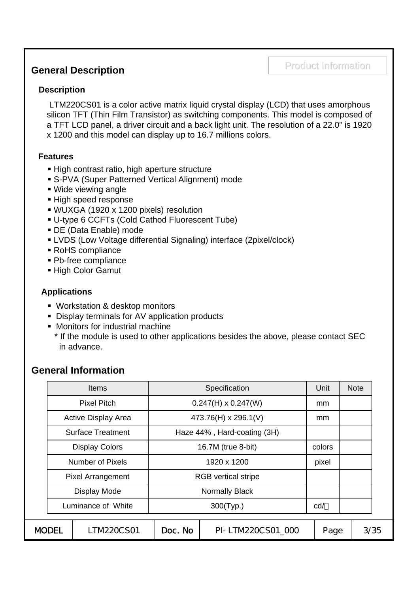# Product Information Product Information **General Description**

#### **Description**

LTM220CS01 is a color active matrix liquid crystal display (LCD) that uses amorphous silicon TFT (Thin Film Transistor) as switching components. This model is composed of a TFT LCD panel, a driver circuit and a back light unit. The resolution of a 22.0" is 1920 x 1200 and this model can display up to 16.7 millions colors.

#### **Features**

- High contrast ratio, high aperture structure
- S-PVA (Super Patterned Vertical Alignment) mode
- Wide viewing angle
- High speed response
- WUXGA (1920 x 1200 pixels) resolution
- U-type 6 CCFTs (Cold Cathod Fluorescent Tube)
- DE (Data Enable) mode
- LVDS (Low Voltage differential Signaling) interface (2pixel/clock)
- RoHS compliance
- Pb-free compliance
- High Color Gamut

#### **Applications**

- **Workstation & desktop monitors**
- Display terminals for AV application products
- Monitors for industrial machine
- \* If the module is used to other applications besides the above, please contact SEC in advance.

#### **General Information**

|                    | <b>Items</b>               |                            | Specification               | Unit | <b>Note</b> |      |
|--------------------|----------------------------|----------------------------|-----------------------------|------|-------------|------|
|                    | <b>Pixel Pitch</b>         |                            | $0.247(H) \times 0.247(W)$  | mm   |             |      |
|                    | <b>Active Display Area</b> |                            | 473.76(H) x 296.1(V)        | mm   |             |      |
|                    | <b>Surface Treatment</b>   |                            | Haze 44%, Hard-coating (3H) |      |             |      |
|                    | <b>Display Colors</b>      | 16.7M (true 8-bit)         | colors                      |      |             |      |
|                    | <b>Number of Pixels</b>    | 1920 x 1200                |                             |      |             |      |
|                    | <b>Pixel Arrangement</b>   | <b>RGB</b> vertical stripe |                             |      |             |      |
|                    | Display Mode               |                            | <b>Normally Black</b>       |      |             |      |
| Luminance of White |                            |                            | cd/                         |      |             |      |
|                    |                            |                            |                             |      |             |      |
| <b>MODEL</b>       | LTM220CS01                 | Doc. No                    | PI-LTM220CS01 000           | Page |             | 3/35 |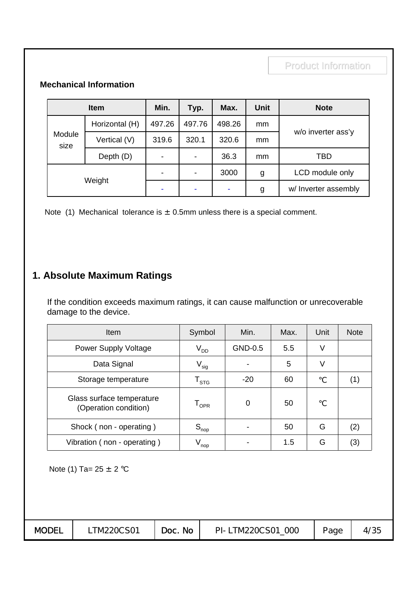#### **Mechanical Information**

|                | <b>Item</b>    |                                  | Typ.                     | Max.  | <b>Unit</b> | <b>Note</b>          |
|----------------|----------------|----------------------------------|--------------------------|-------|-------------|----------------------|
|                | Horizontal (H) | 497.26<br>497.76<br>498.26<br>mm |                          |       |             |                      |
| Module<br>size | Vertical (V)   | 319.6                            | 320.1                    | 320.6 | mm          | w/o inverter ass'y   |
|                | Depth (D)      | $\overline{\phantom{0}}$         | $\overline{\phantom{a}}$ | 36.3  | mm          | TBD                  |
| Weight         |                |                                  | $\overline{\phantom{a}}$ | 3000  | g           | LCD module only      |
|                |                |                                  | ٠                        |       | g           | w/ Inverter assembly |

Note (1) Mechanical tolerance is  $\pm$  0.5mm unless there is a special comment.

### **1. Absolute Maximum Ratings**

If the condition exceeds maximum ratings, it can cause malfunction or unrecoverable damage to the device.

| <b>Item</b>                                        | Symbol                      | Min.    | Max. | Unit | <b>Note</b> |
|----------------------------------------------------|-----------------------------|---------|------|------|-------------|
| Power Supply Voltage                               | V <sub>dd</sub>             | GND-0.5 | 5.5  | V    |             |
| Data Signal                                        | $V_{sig}$                   |         | 5    | V    |             |
| Storage temperature                                | $\mathsf{T}_{\texttt{STG}}$ | $-20$   | 60   |      | (1          |
| Glass surface temperature<br>(Operation condition) | $\mathsf{T}_{\mathsf{OPR}}$ | 0       | 50   |      |             |
| Shock (non - operating)                            | $S_{\text{nop}}$            |         | 50   | G    | (2)         |
| Vibration (non - operating)                        | $V_{\mathsf{nop}}$          |         | 1.5  | G    | (3)         |

Note (1) Ta=  $25 \pm 2$  °C

| <b>MODEL</b> | TM220CS01 | Doc. No | PI-LTM220CS01 000 | Page | 4/35 |
|--------------|-----------|---------|-------------------|------|------|
|--------------|-----------|---------|-------------------|------|------|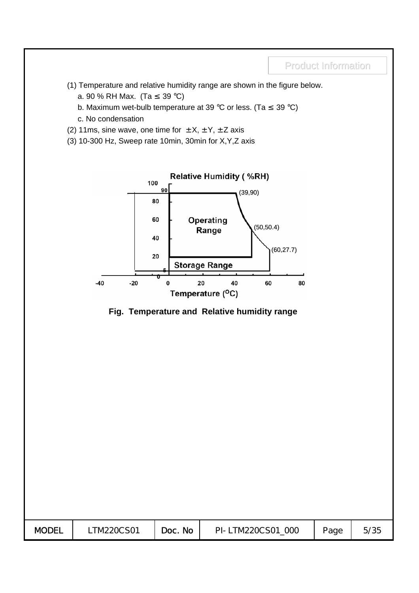- (1) Temperature and relative humidity range are shown in the figure below.
	- a. 90 % RH Max. (Ta 39 °C)
	- b. Maximum wet-bulb temperature at 39 °C or less. (Ta 39 °C)
	- c. No condensation
- (2) 11ms, sine wave, one time for  $\pm X$ ,  $\pm Y$ ,  $\pm Z$  axis
- (3) 10-300 Hz, Sweep rate 10min, 30min for X,Y,Z axis



#### **Fig. Temperature and Relative humidity range**

| <b>MODEL</b> | TM220CS01 | Doc. No | PI-LTM220CS01 000 | Page | 5/35 |
|--------------|-----------|---------|-------------------|------|------|
|              |           |         |                   |      |      |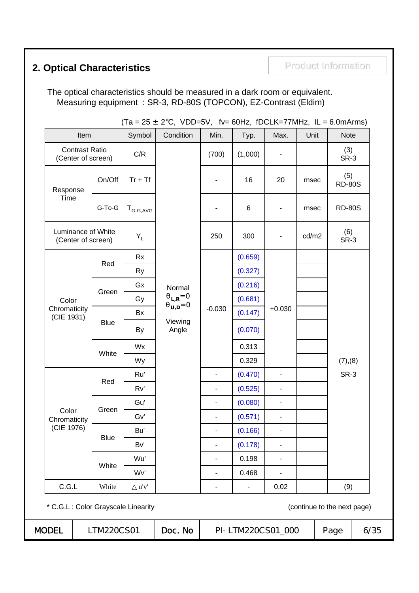# **2. Optical Characteristics Product Information**

The optical characteristics should be measured in a dark room or equivalent. Measuring equipment : SR-3, RD-80S (TOPCON), EZ-Contrast (Eldim)

|                                             |      |             |               | $(Ta = 25 \pm 2^{\circ}C, VDD=5V,$ fv= 60Hz, fDCLK=77MHz, IL = 6.0mArms) |                          |                              |                              |       |                             |         |                |  |  |  |
|---------------------------------------------|------|-------------|---------------|--------------------------------------------------------------------------|--------------------------|------------------------------|------------------------------|-------|-----------------------------|---------|----------------|--|--|--|
|                                             | Item |             | Symbol        | Condition                                                                | Min.                     | Typ.                         | Max.                         | Unit  | <b>Note</b>                 |         |                |  |  |  |
| <b>Contrast Ratio</b><br>(Center of screen) |      |             | C/R           |                                                                          | (700)                    | (1,000)                      |                              |       | (3)<br>SR-3                 |         |                |  |  |  |
| Response                                    |      | On/Off      | $Tr + Tf$     |                                                                          |                          | 16                           | 20                           | msec  | (5)<br><b>RD-80S</b>        |         |                |  |  |  |
| Time                                        |      | G-To-G      | $T_{G-G,AVG}$ |                                                                          |                          | 6                            | $\overline{\phantom{m}}$     | msec  | <b>RD-80S</b>               |         |                |  |  |  |
| Luminance of White<br>(Center of screen)    |      |             | $Y_L$         |                                                                          | 250                      | 300                          |                              | cd/m2 | (6)<br>SR-3                 |         |                |  |  |  |
|                                             |      |             | <b>Rx</b>     |                                                                          |                          | (0.659)                      |                              |       |                             |         |                |  |  |  |
|                                             |      | Red         | <b>Ry</b>     |                                                                          |                          | (0.327)                      |                              |       |                             |         |                |  |  |  |
|                                             |      |             | Gx            | Normal                                                                   |                          | (0.216)                      |                              |       |                             |         |                |  |  |  |
| Color                                       |      | Green       | Gy            | $L_{\rm R}$ =0                                                           |                          | (0.681)                      |                              |       |                             |         |                |  |  |  |
| Chromaticity<br>(CIE 1931)                  |      |             | Bx            | $v_{,D}=0$                                                               | $-0.030$                 | (0.147)                      | $+0.030$                     |       |                             |         |                |  |  |  |
|                                             |      | <b>Blue</b> | By            | Viewing<br>Angle                                                         |                          | (0.070)                      |                              |       |                             |         |                |  |  |  |
|                                             |      |             | Wx            |                                                                          |                          | 0.313                        |                              |       |                             |         |                |  |  |  |
|                                             |      | White       | Wy            |                                                                          |                          | 0.329                        |                              |       | (7), (8)                    |         |                |  |  |  |
|                                             |      | Red         | Ru'           |                                                                          | $\overline{\phantom{a}}$ | (0.470)                      | $\blacksquare$               |       | SR-3                        |         |                |  |  |  |
|                                             |      |             | Rv'           |                                                                          | ٠                        | (0.525)                      | $\qquad \qquad \blacksquare$ |       |                             |         |                |  |  |  |
|                                             |      | Green       | Gu'           |                                                                          | $\overline{\phantom{0}}$ | (0.080)                      | $\blacksquare$               |       |                             |         |                |  |  |  |
| Color<br>Chromaticity                       |      |             | Gv'           |                                                                          |                          |                              |                              |       | $\overline{\phantom{0}}$    | (0.571) | $\blacksquare$ |  |  |  |
| (CIE 1976)                                  |      | <b>Blue</b> | Bu'           |                                                                          |                          | (0.166)                      |                              |       |                             |         |                |  |  |  |
|                                             |      |             | Bv'           |                                                                          |                          | (0.178)                      | ä,                           |       |                             |         |                |  |  |  |
|                                             |      | White       | Wu'           |                                                                          |                          | 0.198                        |                              |       |                             |         |                |  |  |  |
|                                             |      |             | Wv'           |                                                                          |                          | 0.468                        | ٠                            |       |                             |         |                |  |  |  |
| C.G.L                                       |      | White       | u'v'          |                                                                          | -                        | $\qquad \qquad \blacksquare$ | 0.02                         |       | (9)                         |         |                |  |  |  |
| * C.G.L : Color Grayscale Linearity         |      |             |               |                                                                          |                          |                              |                              |       | (continue to the next page) |         |                |  |  |  |
| <b>MODEL</b>                                |      | LTM220CS01  |               | Doc. No                                                                  |                          | PI-LTM220CS01_000            |                              |       | Page                        | 6/35    |                |  |  |  |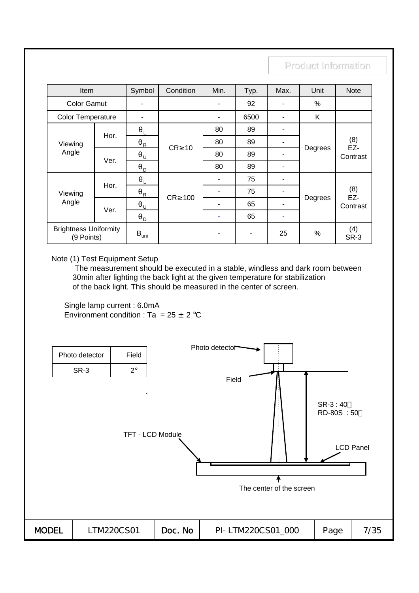| Item                                       |      | Symbol           | Condition        | Min. | Typ. | Max. | Unit    | <b>Note</b>            |
|--------------------------------------------|------|------------------|------------------|------|------|------|---------|------------------------|
| <b>Color Gamut</b>                         |      | ۰                |                  |      | 92   | ۰    | %       |                        |
| <b>Color Temperature</b>                   |      | -                |                  |      | 6500 | ٠    | K       |                        |
|                                            | Hor. |                  |                  | 80   | 89   | ٠    | Degrees |                        |
| Viewing<br>Angle                           |      | R                | CR 10            | 80   | 89   | ٠    |         | (8)<br>EZ-<br>Contrast |
|                                            | Ver. | U                |                  | 80   | 89   | ٠    |         |                        |
|                                            |      | D                |                  | 80   | 89   | ۰    |         |                        |
|                                            |      |                  |                  |      | 75   | ٠    |         |                        |
| Viewing                                    | Hor. | R                | <b>CR</b><br>100 |      | 75   |      |         | (8)<br>EZ-             |
| Angle                                      | Ver. | U                |                  |      | 65   | ۰    | Degrees | Contrast               |
|                                            |      | D                |                  |      | 65   | ۰    |         |                        |
| <b>Brightness Uniformity</b><br>(9 Points) |      | $B_{\text{uni}}$ |                  |      | ٠    | 25   | %       | (4)<br>SR-3            |

Note (1) Test Equipment Setup

The measurement should be executed in a stable, windless and dark room between 30min after lighting the back light at the given temperature for stabilization of the back light. This should be measured in the center of screen.

Single lamp current : 6.0mA Environment condition : Ta =  $25 \pm 2$  °C

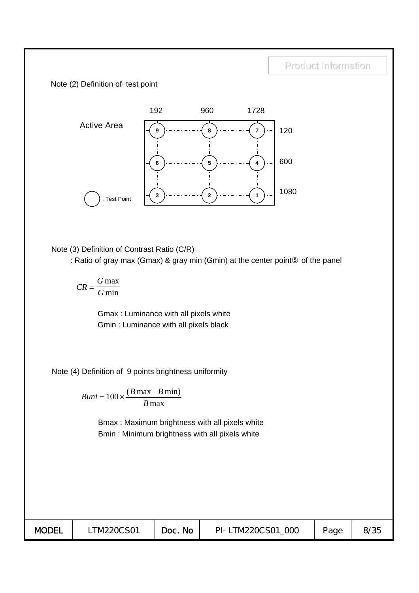Note (2) Definition of test point



Note (3) Definition of Contrast Ratio (C/R)

: Ratio of gray max (Gmax) & gray min (Gmin) at the center point of the panel

$$
CR = \frac{G \max}{G \min}
$$

Gmax : Luminance with all pixels white Gmin : Luminance with all pixels black

Note (4) Definition of 9 points brightness uniformity

 $Buni = 100 \times \frac{(B \max - B)}{2}$ *B*  $= 100 \times \frac{(B \max - B \min)}{B}$ max

> Bmax : Maximum brightness with all pixels white Bmin : Minimum brightness with all pixels white

| <b>No</b><br>Page | <b>MODEL</b> | TM220CS01 | Doc. | PI-LTM220CS01<br>000 |  | 8/35 |
|-------------------|--------------|-----------|------|----------------------|--|------|
|-------------------|--------------|-----------|------|----------------------|--|------|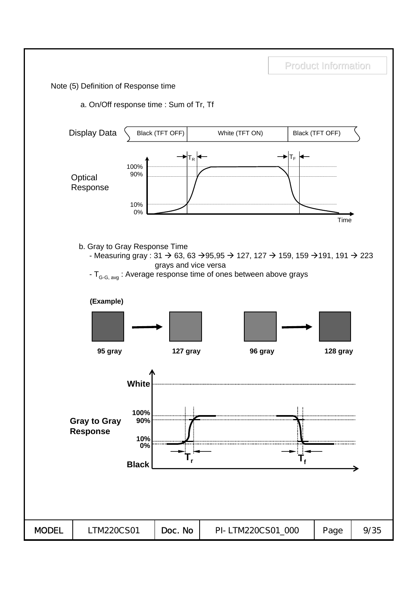Product Information Note (5) Definition of Response time a. On/Off response time : Sum of Tr, Tf Display Data Black (TFT OFF) White (TFT ON) Black (TFT OFF)  $T_R$   $\leftarrow$   $\rightarrow$   $T_F$ 100% 90% **Optical** Response 10% 0% Timeb. Gray to Gray Response Time - Measuring gray : 31  $\rightarrow$  63, 63  $\rightarrow$  95, 95  $\rightarrow$  127, 127  $\rightarrow$  159, 159  $\rightarrow$  191, 191  $\rightarrow$  223 grays and vice versa -  $T_{G-G, avg}$ : Average response time of ones between above grays **(Example) 95 gray 127 gray 96 gray 128 gray White 100% Gray to Gray 90% Response 10% 0% Tr Tf Black** MODEL | LTM220CS01 | Doc. No | PI-LTM220CS01\_000 | Page | 9/35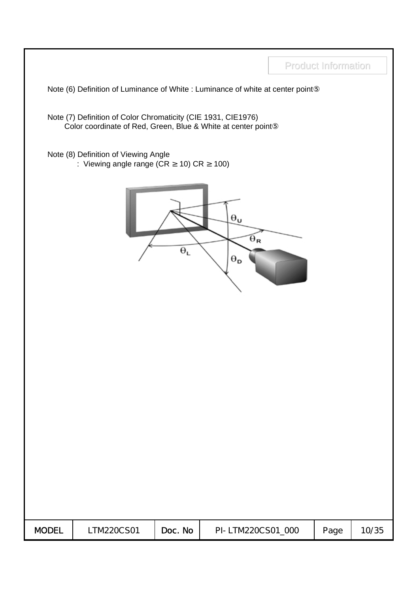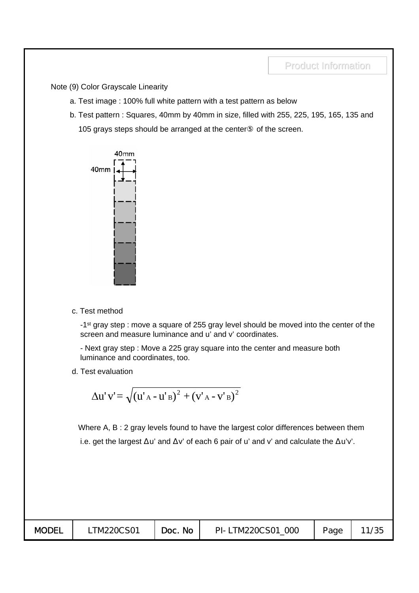Note (9) Color Grayscale Linearity

- a. Test image : 100% full white pattern with a test pattern as below
- b. Test pattern : Squares, 40mm by 40mm in size, filled with 255, 225, 195, 165, 135 and 105 grays steps should be arranged at the center of the screen.



c. Test method

-1<sup>st</sup> gray step : move a square of 255 gray level should be moved into the center of the screen and measure luminance and u' and v' coordinates.

- Next gray step : Move a 225 gray square into the center and measure both luminance and coordinates, too.

d. Test evaluation

$$
\Delta u' v' = \sqrt{(u'_{A} - u'_{B})^{2} + (v'_{A} - v'_{B})^{2}}
$$

Where A, B : 2 gray levels found to have the largest color differences between them i.e. get the largest u' and v' of each 6 pair of u' and v' and calculate the u'v'.

| <b>MODEL</b> | TM220CS01 | Doc. No | OOC<br>PI-LTM220CS01 | Page |  |
|--------------|-----------|---------|----------------------|------|--|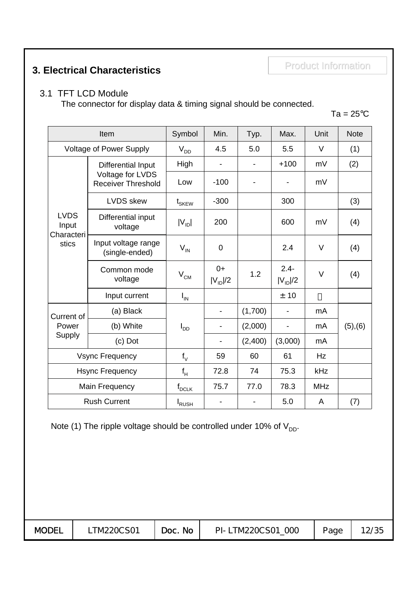# Product Information Product Information **3. Electrical Characteristics**

#### 3.1 TFT LCD Module

The connector for display data & timing signal should be connected.

 $Ta = 25^{\circ}C$ 

|                                             | Item                                          | Symbol                       | Min.                 | Typ.    | Max.                     | Unit       | <b>Note</b> |
|---------------------------------------------|-----------------------------------------------|------------------------------|----------------------|---------|--------------------------|------------|-------------|
|                                             | <b>Voltage of Power Supply</b>                | $V_{DD}$                     | 4.5                  | 5.0     | 5.5                      | $\vee$     | (1)         |
|                                             | Differential Input                            | High                         |                      |         | $+100$                   | mV         | (2)         |
|                                             | Voltage for LVDS<br><b>Receiver Threshold</b> | Low                          | $-100$               |         |                          | mV         |             |
| <b>LVDS</b><br>Input<br>Characteri<br>stics | <b>LVDS</b> skew                              | $\mathfrak{t}_{\text{SKEW}}$ | $-300$               |         | 300                      |            | (3)         |
|                                             | Differential input<br>voltage                 | $ V_{ID} $                   | 200                  |         | 600                      | mV         | (4)         |
|                                             | Input voltage range<br>(single-ended)         | $V_{IN}$                     | $\mathbf 0$          |         | 2.4                      | $\vee$     | (4)         |
|                                             | Common mode<br>voltage                        | $\rm V_{\rm CM}$             | $0+$<br>$ V_{ID} /2$ | 1.2     | $2.4 -$<br>$ V_{ID} /2$  | $\vee$     | (4)         |
|                                             | Input current                                 | $I_{IN}$                     |                      |         | ± 10                     |            |             |
| Current of                                  | (a) Black                                     |                              |                      | (1,700) |                          | mA         |             |
| Power                                       | (b) White                                     | $I_{DD}$                     | -                    | (2,000) | $\overline{\phantom{0}}$ | mA         | (5), (6)    |
| Supply                                      | (c) Dot                                       |                              |                      | (2,400) | (3,000)                  | mA         |             |
|                                             | <b>Vsync Frequency</b>                        | $f_V$                        | 59                   | 60      | 61                       | Hz         |             |
|                                             | <b>Hsync Frequency</b>                        | $\mathsf{f}_{\mathsf{H}}$    | 72.8                 | 74      | 75.3                     | kHz        |             |
|                                             | Main Frequency                                | $f_{DCLK}$                   | 75.7                 | 77.0    | 78.3                     | <b>MHz</b> |             |
|                                             | <b>Rush Current</b>                           | <b>I</b> RUSH                |                      |         | 5.0                      | A          | (7)         |

Note (1) The ripple voltage should be controlled under 10% of  $V_{DD}$ .

| <b>MODEL</b> | TM220CS01 | Doc. No | PI-LTM220CS01<br>000 | Page | 12/35 |
|--------------|-----------|---------|----------------------|------|-------|
|--------------|-----------|---------|----------------------|------|-------|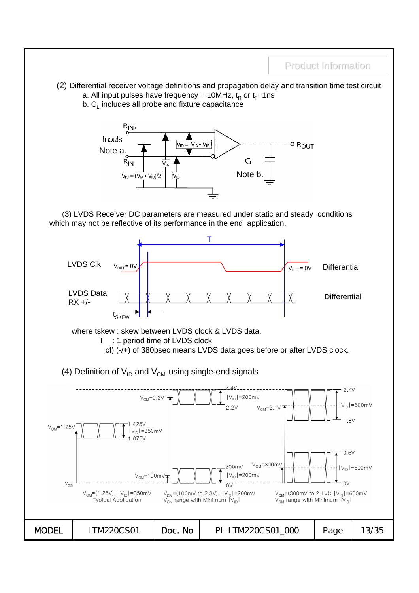Product Information (2) Differential receiver voltage definitions and propagation delay and transition time test circuit a. All input pulses have frequency = 10MHz,  $t<sub>R</sub>$  or  $t<sub>F</sub>=1$ ns b.  $C_{\text{L}}$  includes all probe and fixture capacitance  $R_{IN+}$ Inputs o R<sub>OUT</sub>  $V_{ID} = V_{IA} - V_{IB}$ Note a.  $\bar{C}_L$  $R_{\mid N}$ Note b.  $V_{\text{IC}} = (V_{\text{IA}} +$  $V_{IB}$ /2 (3) LVDS Receiver DC parameters are measured under static and steady conditions which may not be reflective of its performance in the end application. T LVDS Clk $V_{\text{DIFF}} = 0 \vee \cancel{\#}$  and  $V_{\text{DIFF}} = 0 \vee \cancel{\#}$ **Differential** LVDS Data **Differential** RX +/- Tekem where tskew : skew between LVDS clock & LVDS data, T : 1 period time of LVDS clock cf) (-/+) of 380psec means LVDS data goes before or after LVDS clock. (4) Definition of  $V_{ID}$  and  $V_{CM}$  using single-end signals  $2.4V$  $|V_{ID}|$ =200mV  $V<sub>CM</sub>=2.3V$  $|V_{ID}|$ =600m $V$  $2.2V$  $V_{CM} = 2.11$  $1.8V$ 425V  $V_{CM} = 1.25V$  $|V_{ID}|$ =350mV  $1.075V$  $0.6V$  $V_{CM} = 300$ m .200mV  $|V_{ID}|$ =600mV  $|V_{1D}|$ =200mV  $V_{CM} = 100$ mV  $O<sub>0</sub>$  $\sqrt{7}$  $V_{CM} = (300 \text{mV to } 2.1 \text{V})$ ;  $|V_{1D}| = 600 \text{mV}$  $V_{CM} = (1.25V)$ ;  $|V_{ID}| = 350$ mV  $V_{CM}$ =(100mV to 2.3V);  $|V_{ID}|$ =200mV  $V_{CM}$  range with Minimum  $|V_{ID}|$ **Typical Application**  $V_{\text{CM}}$  range with Minimum  $|V_{\text{ID}}|$ **MODEL** | LTM220CS01 | Doc. No | PI-LTM220CS01\_000 | Page | 13/35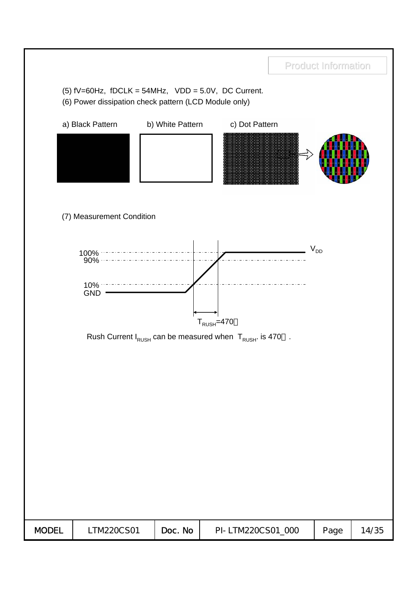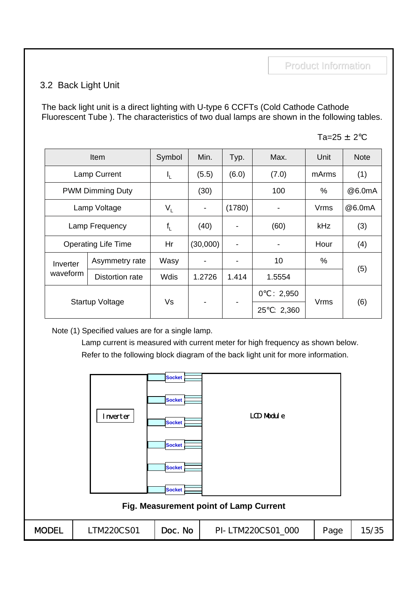#### 3.2 Back Light Unit

The back light unit is a direct lighting with U-type 6 CCFTs (Cold Cathode Cathode Fluorescent Tube ). The characteristics of two dual lamps are shown in the following tables.

Ta= $25 \pm 2$ °C

|          | Item                       | Symbol  | Min.           | Typ.   | Max.          | Unit        | <b>Note</b> |
|----------|----------------------------|---------|----------------|--------|---------------|-------------|-------------|
|          | <b>Lamp Current</b>        | ı'r     | (5.5)          | (6.0)  | (7.0)         | mArms       | (1)         |
|          | <b>PWM Dimming Duty</b>    |         | (30)           |        | 100           | %           | @6.0mA      |
|          | Lamp Voltage               | $V_{L}$ | $\blacksquare$ | (1780) |               | <b>Vrms</b> | @6.0mA      |
|          | Lamp Frequency             | $f_{L}$ | (40)           |        | (60)          | kHz         | (3)         |
|          | <b>Operating Life Time</b> | Hr      | (30,000)       |        |               | Hour        | (4)         |
| Inverter | Asymmetry rate             | Wasy    |                |        | 10            | %           |             |
| waveform | Distortion rate            | Wdis    | 1.2726         | 1.414  | 1.5554        |             | (5)         |
|          |                            | Vs      |                |        | 0<br>: 2,950  | <b>Vrms</b> |             |
|          | <b>Startup Voltage</b>     |         |                |        | 25<br>: 2,360 |             | (6)         |

Note (1) Specified values are for a single lamp.

Lamp current is measured with current meter for high frequency as shown below. Refer to the following block diagram of the back light unit for more information.

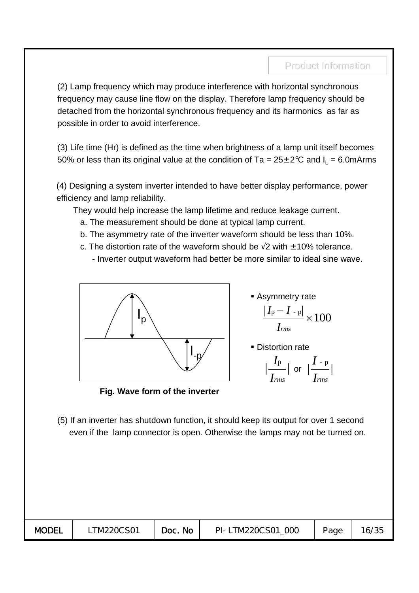(2) Lamp frequency which may produce interference with horizontal synchronous frequency may cause line flow on the display. Therefore lamp frequency should be detached from the horizontal synchronous frequency and its harmonics as far as possible in order to avoid interference.

(3) Life time (Hr) is defined as the time when brightness of a lamp unit itself becomes 50% or less than its original value at the condition of Ta =  $25 \pm 2^{\circ}$ C and  $I_1 = 6.0$ mArms

(4) Designing a system inverter intended to have better display performance, power efficiency and lamp reliability.

They would help increase the lamp lifetime and reduce leakage current.

- a. The measurement should be done at typical lamp current.
- b. The asymmetry rate of the inverter waveform should be less than 10%.
- c. The distortion rate of the waveform should be  $2$  with  $\pm 10\%$  tolerance.
	- Inverter output waveform had better be more similar to ideal sine wave.



**Fig. Wave form of the inverter**

 $|I_{p}-I_{p}|$ *Irms*  $\frac{p- I_{\text{p}}}{I} \times 100$ **Asymmetry rate** 

**Distortion rate** 

$$
\Big|\frac{I_{\rm p}}{I_{\rm rms}}\Big| \text{ or } \Big|\frac{I_{\rm -p}}{I_{\rm rms}}\Big|
$$

(5) If an inverter has shutdown function, it should keep its output for over 1 second even if the lamp connector is open. Otherwise the lamps may not be turned on.

| <b>MODEL</b> | TM220CS01 | <b>No</b><br>Doc. | PI-LTM220CS01<br>000 | Page | 6/35 |
|--------------|-----------|-------------------|----------------------|------|------|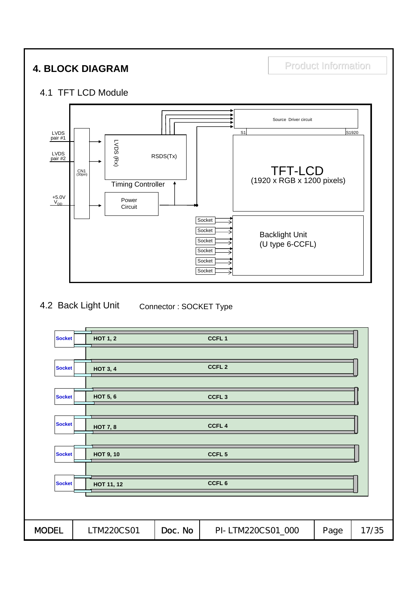# **4. BLOCK DIAGRAM Product Information**

#### 4.1 TFT LCD Module



#### 4.2 Back Light Unit Connector : SOCKET Type

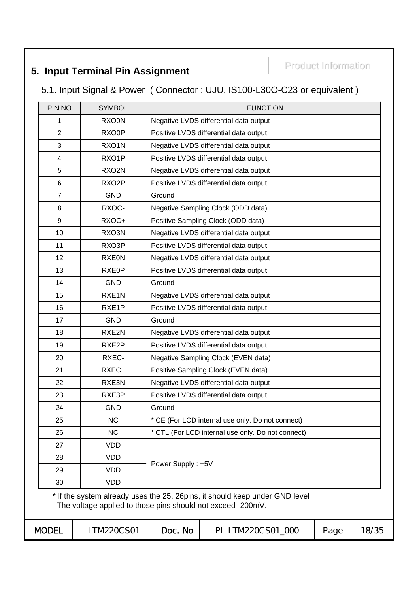# **5. Input Terminal Pin Assignment Fig. 10. 12. Product Information**

5.1. Input Signal & Power ( Connector : UJU, IS100-L30O-C23 or equivalent )

| PIN NO         | <b>SYMBOL</b>                                               |                   | <b>FUNCTION</b>                                                              |      |       |
|----------------|-------------------------------------------------------------|-------------------|------------------------------------------------------------------------------|------|-------|
| 1              | <b>RXO0N</b>                                                |                   | Negative LVDS differential data output                                       |      |       |
| $\overline{2}$ | RXO0P                                                       |                   | Positive LVDS differential data output                                       |      |       |
| 3              | RXO1N                                                       |                   | Negative LVDS differential data output                                       |      |       |
| 4              | RXO1P                                                       |                   | Positive LVDS differential data output                                       |      |       |
| 5              | RXO2N                                                       |                   | Negative LVDS differential data output                                       |      |       |
| 6              | RXO <sub>2</sub> P                                          |                   | Positive LVDS differential data output                                       |      |       |
| $\overline{7}$ | <b>GND</b>                                                  | Ground            |                                                                              |      |       |
| 8              | RXOC-                                                       |                   | Negative Sampling Clock (ODD data)                                           |      |       |
| 9              | RXOC+                                                       |                   | Positive Sampling Clock (ODD data)                                           |      |       |
| 10             | RXO3N                                                       |                   | Negative LVDS differential data output                                       |      |       |
| 11             | RXO3P                                                       |                   | Positive LVDS differential data output                                       |      |       |
| 12             | <b>RXE0N</b>                                                |                   | Negative LVDS differential data output                                       |      |       |
| 13             | RXE0P                                                       |                   | Positive LVDS differential data output                                       |      |       |
| 14             | <b>GND</b>                                                  | Ground            |                                                                              |      |       |
| 15             | RXE <sub>1</sub> N                                          |                   | Negative LVDS differential data output                                       |      |       |
| 16             | RXE1P                                                       |                   | Positive LVDS differential data output                                       |      |       |
| 17             | <b>GND</b>                                                  | Ground            |                                                                              |      |       |
| 18             | RXE2N                                                       |                   | Negative LVDS differential data output                                       |      |       |
| 19             | RXE2P                                                       |                   | Positive LVDS differential data output                                       |      |       |
| 20             | RXEC-                                                       |                   | Negative Sampling Clock (EVEN data)                                          |      |       |
| 21             | RXEC+                                                       |                   | Positive Sampling Clock (EVEN data)                                          |      |       |
| 22             | RXE3N                                                       |                   | Negative LVDS differential data output                                       |      |       |
| 23             | RXE3P                                                       |                   | Positive LVDS differential data output                                       |      |       |
| 24             | <b>GND</b>                                                  | Ground            |                                                                              |      |       |
| 25             | <b>NC</b>                                                   |                   | * CE (For LCD internal use only. Do not connect)                             |      |       |
| 26             | <b>NC</b>                                                   |                   | * CTL (For LCD internal use only. Do not connect)                            |      |       |
| 27             | <b>VDD</b>                                                  |                   |                                                                              |      |       |
| 28             | <b>VDD</b>                                                  |                   |                                                                              |      |       |
| 29             | <b>VDD</b>                                                  | Power Supply: +5V |                                                                              |      |       |
| 30             | <b>VDD</b>                                                  |                   |                                                                              |      |       |
|                | The voltage applied to those pins should not exceed -200mV. |                   | * If the system already uses the 25, 26 pins, it should keep under GND level |      |       |
| MODEL          | LTM220CS01                                                  | Doc. No           | PI-LTM220CS01_000                                                            | Page | 18/35 |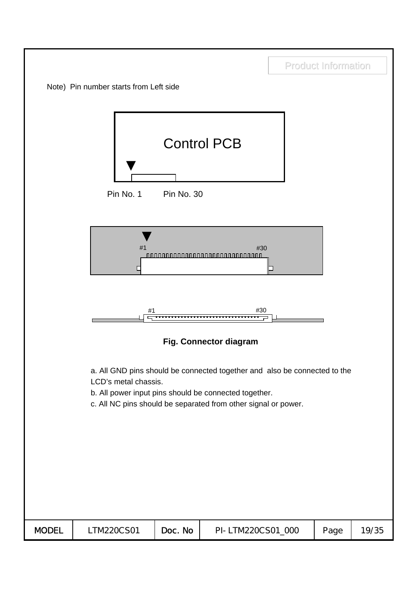|              |                                        |            |                                                                                                                                                                                                      | <b>Product Information</b> |       |
|--------------|----------------------------------------|------------|------------------------------------------------------------------------------------------------------------------------------------------------------------------------------------------------------|----------------------------|-------|
|              | Note) Pin number starts from Left side |            |                                                                                                                                                                                                      |                            |       |
|              | Pin No. 1                              | Pin No. 30 | <b>Control PCB</b>                                                                                                                                                                                   |                            |       |
|              | #1<br>L                                |            | #30<br><u> 888888888888888888888888888888</u>                                                                                                                                                        |                            |       |
|              | #1                                     |            | #30                                                                                                                                                                                                  |                            |       |
|              |                                        |            | Fig. Connector diagram                                                                                                                                                                               |                            |       |
|              | LCD's metal chassis.                   |            | a. All GND pins should be connected together and also be connected to the<br>b. All power input pins should be connected together.<br>c. All NC pins should be separated from other signal or power. |                            |       |
| <b>MODEL</b> | LTM220CS01                             | Doc. No    | PI-LTM220CS01_000                                                                                                                                                                                    | Page                       | 19/35 |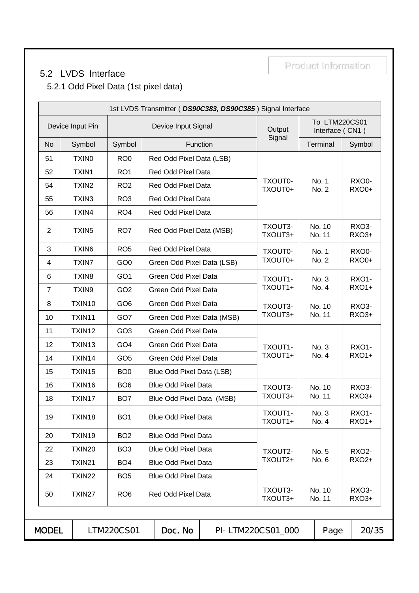### 5.2 LVDS Interface

Product Information

5.2.1 Odd Pixel Data (1st pixel data)

|                |                   |                 |                            | 1st LVDS Transmitter (DS90C383, DS90C385) Signal Interface |                    |                                  |                       |
|----------------|-------------------|-----------------|----------------------------|------------------------------------------------------------|--------------------|----------------------------------|-----------------------|
|                | Device Input Pin  |                 | Device Input Signal        |                                                            | Output             | To LTM220CS01<br>Interface (CN1) |                       |
| No             | Symbol            | Symbol          |                            | Function                                                   | Signal             | Terminal                         | Symbol                |
| 51             | TXIN <sub>0</sub> | RO <sub>0</sub> | Red Odd Pixel Data (LSB)   |                                                            |                    |                                  |                       |
| 52             | TXIN1             | RO <sub>1</sub> | Red Odd Pixel Data         |                                                            |                    |                                  |                       |
| 54             | TXIN <sub>2</sub> | RO <sub>2</sub> | Red Odd Pixel Data         |                                                            | TXOUT0-<br>TXOUT0+ | No. 1<br>No. 2                   | RXO0-<br>RXO0+        |
| 55             | TXIN3             | RO <sub>3</sub> | Red Odd Pixel Data         |                                                            |                    |                                  |                       |
| 56             | TXIN4             | RO <sub>4</sub> | Red Odd Pixel Data         |                                                            |                    |                                  |                       |
| 2              | TXIN <sub>5</sub> | RO <sub>7</sub> | Red Odd Pixel Data (MSB)   |                                                            | TXOUT3-<br>TXOUT3+ | No. 10<br>No. 11                 | RXO3-<br>RXO3+        |
| 3              | TXIN6             | RO <sub>5</sub> | Red Odd Pixel Data         |                                                            | TXOUT0-            | No. 1                            | RXO0-                 |
| $\overline{4}$ | <b>TXIN7</b>      | GO <sub>0</sub> | Green Odd Pixel Data (LSB) |                                                            | TXOUT0+            | No. 2                            | RXO0+                 |
| $\,6$          | TXIN8             | GO <sub>1</sub> | Green Odd Pixel Data       |                                                            | TXOUT1-            | No. 3                            | <b>RXO1-</b>          |
| $\overline{7}$ | TXIN9             | GO <sub>2</sub> | Green Odd Pixel Data       |                                                            | TXOUT1+            | No. 4                            | <b>RXO1+</b>          |
| 8              | TXIN10            | GO <sub>6</sub> | Green Odd Pixel Data       |                                                            | TXOUT3-            | No. 10                           | RXO3-                 |
| 10             | TXIN11            | GO7             | Green Odd Pixel Data (MSB) |                                                            | TXOUT3+            | No. 11                           | RXO3+                 |
| 11             | TXIN12            | GO <sub>3</sub> | Green Odd Pixel Data       |                                                            |                    |                                  |                       |
| 12             | TXIN13            | GO <sub>4</sub> | Green Odd Pixel Data       |                                                            | TXOUT1-            | No. 3                            | <b>RXO1-</b>          |
| 14             | TXIN14            | GO <sub>5</sub> | Green Odd Pixel Data       |                                                            | TXOUT1+            | No. 4                            | <b>RXO1+</b>          |
| 15             | TXIN15            | BO <sub>0</sub> | Blue Odd Pixel Data (LSB)  |                                                            |                    |                                  |                       |
| 16             | TXIN16            | BO <sub>6</sub> | <b>Blue Odd Pixel Data</b> |                                                            | TXOUT3-            | No. 10                           | RXO3-                 |
| 18             | TXIN17            | BO <sub>7</sub> | Blue Odd Pixel Data (MSB)  |                                                            | TXOUT3+            | No. 11                           | RXO3+                 |
| 19             | TXIN18            | BO <sub>1</sub> | <b>Blue Odd Pixel Data</b> |                                                            | TXOUT1-<br>TXOUT1+ | No. 3<br>No. 4                   | RXO1-<br><b>RXO1+</b> |
| 20             | TXIN19            | BO <sub>2</sub> | <b>Blue Odd Pixel Data</b> |                                                            |                    |                                  |                       |
| 22             | TXIN20            | BO <sub>3</sub> | <b>Blue Odd Pixel Data</b> |                                                            | TXOUT2-            | No. 5                            | RXO <sub>2</sub> -    |
| 23             | TXIN21            | BO <sub>4</sub> | <b>Blue Odd Pixel Data</b> |                                                            | TXOUT2+            | No. 6                            | RXO2+                 |
| 24             | TXIN22            | BO <sub>5</sub> | <b>Blue Odd Pixel Data</b> |                                                            |                    |                                  |                       |
| 50             | TXIN27            | RO <sub>6</sub> | Red Odd Pixel Data         |                                                            | TXOUT3-<br>TXOUT3+ | No. 10<br>No. 11                 | RXO3-<br>RXO3+        |
| <b>MODEL</b>   |                   | LTM220CS01      | Doc. No                    |                                                            | PI-LTM220CS01_000  |                                  | 20/35                 |
|                |                   |                 |                            |                                                            |                    | Page                             |                       |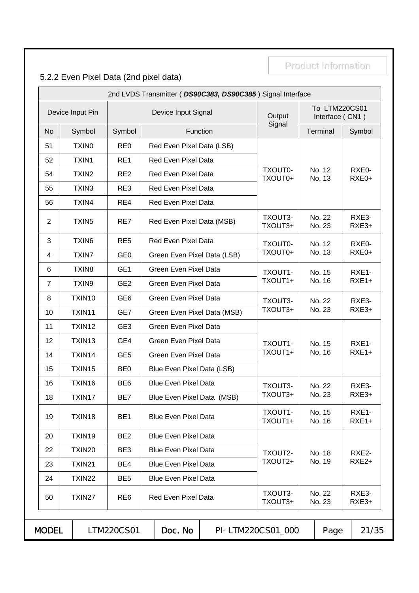# 5.2.2 Even Pixel Data (2nd pixel data)

|                |                   |                 |                              | 2nd LVDS Transmitter (DS90C383, DS90C385) Signal Interface |                    |                                  |                  |
|----------------|-------------------|-----------------|------------------------------|------------------------------------------------------------|--------------------|----------------------------------|------------------|
|                | Device Input Pin  |                 | Device Input Signal          |                                                            | Output             | To LTM220CS01<br>Interface (CN1) |                  |
| <b>No</b>      | Symbol            | Symbol          | Function                     |                                                            | Signal             | Terminal                         | Symbol           |
| 51             | <b>TXINO</b>      | RE <sub>0</sub> | Red Even Pixel Data (LSB)    |                                                            |                    |                                  |                  |
| 52             | TXIN1             | RE1             | <b>Red Even Pixel Data</b>   |                                                            |                    |                                  |                  |
| 54             | TXIN <sub>2</sub> | RE <sub>2</sub> | Red Even Pixel Data          |                                                            | TXOUT0-<br>TXOUT0+ | No. 12<br>No. 13                 | RXE0-<br>RXE0+   |
| 55             | TXIN3             | RE3             | <b>Red Even Pixel Data</b>   |                                                            |                    |                                  |                  |
| 56             | TXIN4             | RE4             | Red Even Pixel Data          |                                                            |                    |                                  |                  |
| $\overline{2}$ | TXIN <sub>5</sub> | RE7             | Red Even Pixel Data (MSB)    |                                                            | TXOUT3-<br>TXOUT3+ | No. 22<br>No. 23                 | RXE3-<br>RXE3+   |
| 3              | TXIN6             | RE <sub>5</sub> | <b>Red Even Pixel Data</b>   |                                                            | TXOUT0-            | No. 12                           | RXE0-            |
| 4              | TXIN7             | GE <sub>0</sub> | Green Even Pixel Data (LSB)  |                                                            | TXOUT0+            | No. 13                           | RXE0+            |
| 6              | TXIN <sub>8</sub> | GE <sub>1</sub> | <b>Green Even Pixel Data</b> |                                                            | TXOUT1-            | No. 15                           | RXE1-            |
| $\overline{7}$ | TXIN9             | GE <sub>2</sub> | Green Even Pixel Data        |                                                            | TXOUT1+            | No. 16                           | $RXE1+$          |
| 8              | TXIN10            | GE <sub>6</sub> | Green Even Pixel Data        |                                                            | TXOUT3-            | No. 22                           | RXE3-            |
| 10             | TXIN11            | GE7             | Green Even Pixel Data (MSB)  |                                                            | TXOUT3+            | No. 23                           | RXE3+            |
| 11             | TXIN12            | GE <sub>3</sub> | <b>Green Even Pixel Data</b> |                                                            |                    |                                  |                  |
| 12             | TXIN13            | GE4             | Green Even Pixel Data        |                                                            | TXOUT1-            | No. 15                           | RXE1-            |
| 14             | TXIN14            | GE <sub>5</sub> | Green Even Pixel Data        |                                                            | TXOUT1+            | No. 16                           | $RXE1+$          |
| 15             | TXIN15            | BE <sub>0</sub> | Blue Even Pixel Data (LSB)   |                                                            |                    |                                  |                  |
| 16             | TXIN16            | BE <sub>6</sub> | <b>Blue Even Pixel Data</b>  |                                                            | TXOUT3-            | No. 22                           | RXE3-            |
| 18             | TXIN17            | BE7             | Blue Even Pixel Data (MSB)   |                                                            | TXOUT3+            | No. 23                           | RXE3+            |
| 19             | TXIN18            | BE <sub>1</sub> | <b>Blue Even Pixel Data</b>  |                                                            | TXOUT1-<br>TXOUT1+ | No. 15<br>No. 16                 | RXE1-<br>$RXE1+$ |
| 20             | TXIN19            | BE <sub>2</sub> | <b>Blue Even Pixel Data</b>  |                                                            |                    |                                  |                  |
| 22             | TXIN20            | BE3             | <b>Blue Even Pixel Data</b>  |                                                            | TXOUT2-            | No. 18                           | RXE2-            |
| 23             | TXIN21            | BE4             | <b>Blue Even Pixel Data</b>  |                                                            | TXOUT2+            | No. 19                           | RXE2+            |
| 24             | TXIN22            | BE <sub>5</sub> | <b>Blue Even Pixel Data</b>  |                                                            |                    |                                  |                  |
| 50             | TXIN27            | RE <sub>6</sub> | <b>Red Even Pixel Data</b>   |                                                            | TXOUT3-<br>TXOUT3+ | No. 22<br>No. 23                 | RXE3-<br>RXE3+   |
| <b>MODEL</b>   |                   | LTM220CS01      | Doc. No                      |                                                            | PI-LTM220CS01_000  | Page                             | 21/35            |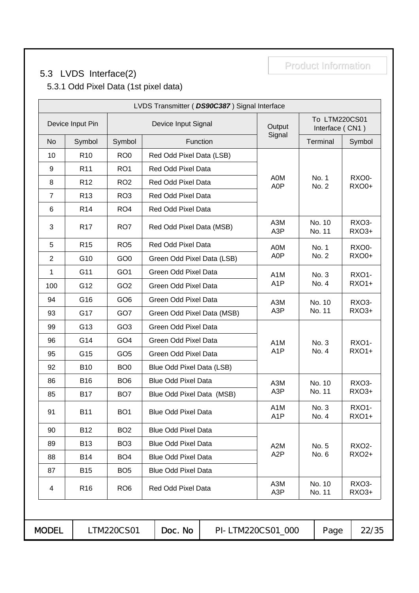# 5.3 LVDS Interface(2)

Product Information

5.3.1 Odd Pixel Data (1st pixel data)

|                |                  |                 |                            | LVDS Transmitter ( DS90C387) Signal Interface |                                      |                                  |                       |
|----------------|------------------|-----------------|----------------------------|-----------------------------------------------|--------------------------------------|----------------------------------|-----------------------|
|                | Device Input Pin |                 | Device Input Signal        |                                               | Output                               | To LTM220CS01<br>Interface (CN1) |                       |
| <b>No</b>      | Symbol           | Symbol          |                            | Function                                      | Signal                               | Terminal                         | Symbol                |
| 10             | R <sub>10</sub>  | RO <sub>0</sub> | Red Odd Pixel Data (LSB)   |                                               |                                      |                                  |                       |
| 9              | R <sub>11</sub>  | RO <sub>1</sub> | Red Odd Pixel Data         |                                               |                                      |                                  |                       |
| 8              | R <sub>12</sub>  | RO <sub>2</sub> | Red Odd Pixel Data         |                                               | A0M<br>A0P                           | No. 1<br>No. 2                   | RXO0-<br><b>RXO0+</b> |
| $\overline{7}$ | R <sub>13</sub>  | RO <sub>3</sub> | Red Odd Pixel Data         |                                               |                                      |                                  |                       |
| 6              | R <sub>14</sub>  | RO <sub>4</sub> | Red Odd Pixel Data         |                                               |                                      |                                  |                       |
| 3              | R <sub>17</sub>  | RO7             | Red Odd Pixel Data (MSB)   |                                               | A3M<br>A3P                           | No. 10<br>No. 11                 | RXO3-<br>RXO3+        |
| 5              | R <sub>15</sub>  | RO <sub>5</sub> | Red Odd Pixel Data         |                                               | A0M                                  | No. 1                            | RXO0-                 |
| $\overline{2}$ | G10              | GO <sub>0</sub> | Green Odd Pixel Data (LSB) |                                               | A0P                                  | No. 2                            | <b>RXO0+</b>          |
| 1              | G11              | GO <sub>1</sub> | Green Odd Pixel Data       |                                               | A <sub>1</sub> M                     | No. 3                            | <b>RXO1-</b>          |
| 100            | G12              | GO <sub>2</sub> | Green Odd Pixel Data       |                                               | A <sub>1</sub> P                     | No. 4                            | <b>RXO1+</b>          |
| 94             | G16              | GO <sub>6</sub> | Green Odd Pixel Data       |                                               | A3M                                  | No. 10                           | RXO3-                 |
| 93             | G17              | GO7             | Green Odd Pixel Data (MSB) |                                               | A <sub>3</sub> P                     | No. 11                           | RXO3+                 |
| 99             | G13              | GO <sub>3</sub> | Green Odd Pixel Data       |                                               |                                      |                                  |                       |
| 96             | G14              | GO <sub>4</sub> | Green Odd Pixel Data       |                                               | A <sub>1</sub> M                     | No. 3                            | RXO1-                 |
| 95             | G15              | GO <sub>5</sub> | Green Odd Pixel Data       |                                               | A <sub>1</sub> P                     | No. 4                            | <b>RXO1+</b>          |
| 92             | <b>B10</b>       | BO <sub>0</sub> | Blue Odd Pixel Data (LSB)  |                                               |                                      |                                  |                       |
| 86             | <b>B16</b>       | BO <sub>6</sub> | <b>Blue Odd Pixel Data</b> |                                               | A3M                                  | No. 10                           | RXO3-                 |
| 85             | <b>B17</b>       | BO <sub>7</sub> | Blue Odd Pixel Data (MSB)  |                                               | A3P                                  | No. 11                           | RXO3+                 |
| 91             | B11              | BO <sub>1</sub> | <b>Blue Odd Pixel Data</b> |                                               | A <sub>1</sub> M<br>A <sub>1</sub> P | No. 3<br>No. 4                   | RXO1-<br><b>RXO1+</b> |
| 90             | <b>B12</b>       | BO <sub>2</sub> | <b>Blue Odd Pixel Data</b> |                                               |                                      |                                  |                       |
| 89             | <b>B13</b>       | BO <sub>3</sub> | <b>Blue Odd Pixel Data</b> |                                               | A <sub>2</sub> M                     | No. 5                            | <b>RXO2-</b>          |
| 88             | <b>B14</b>       | BO <sub>4</sub> | <b>Blue Odd Pixel Data</b> |                                               | A <sub>2</sub> P                     | No. 6                            | RXO2+                 |
| 87             | <b>B15</b>       | BO <sub>5</sub> | <b>Blue Odd Pixel Data</b> |                                               |                                      |                                  |                       |
| 4              | R <sub>16</sub>  | RO <sub>6</sub> | Red Odd Pixel Data         |                                               | A3M<br>A <sub>3</sub> P              | No. 10<br>No. 11                 | RXO3-<br>RXO3+        |
| <b>MODEL</b>   |                  | LTM220CS01      | Doc. No                    |                                               | PI-LTM220CS01_000                    | Page                             | 22/35                 |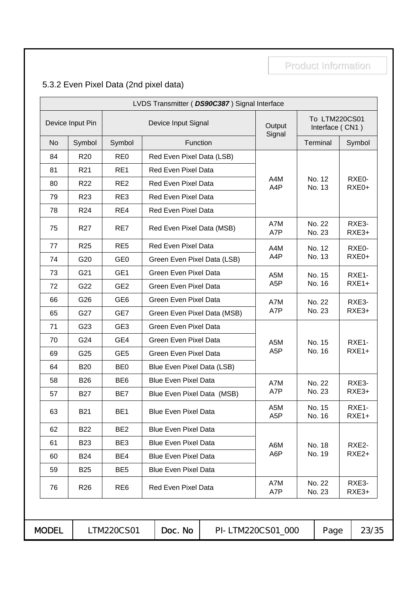# 5.3.2 Even Pixel Data (2nd pixel data)

|            | Device Input Signal<br>Red Even Pixel Data (LSB)<br>Red Even Pixel Data<br>Red Even Pixel Data<br>Red Even Pixel Data<br>Red Even Pixel Data<br>Red Even Pixel Data (MSB)<br><b>Red Even Pixel Data</b><br>Green Even Pixel Data (LSB)<br>Green Even Pixel Data<br><b>Green Even Pixel Data</b><br><b>Green Even Pixel Data</b><br>Green Even Pixel Data (MSB)<br><b>Green Even Pixel Data</b><br><b>Green Even Pixel Data</b> | Function | Output<br>Signal<br>A4M<br>A4P<br>A7M<br>A7P<br>A4M<br>A4P<br>A <sub>5</sub> M<br>A <sub>5</sub> P<br>A7M<br>A7P | To LTM220CS01<br>Interface (CN1)<br>Terminal<br>No. 12<br>No. 13<br>No. 22<br>No. 23<br>No. 12<br>No. 13<br>No. 15<br>No. 16<br>No. 22 |                            | Symbol<br>RXE0-<br>RXE0+<br>RXE3-<br>RXE3+<br>RXE0-<br>RXE0+<br>RXE1-<br>$RXE1+$ |
|------------|--------------------------------------------------------------------------------------------------------------------------------------------------------------------------------------------------------------------------------------------------------------------------------------------------------------------------------------------------------------------------------------------------------------------------------|----------|------------------------------------------------------------------------------------------------------------------|----------------------------------------------------------------------------------------------------------------------------------------|----------------------------|----------------------------------------------------------------------------------|
|            |                                                                                                                                                                                                                                                                                                                                                                                                                                |          |                                                                                                                  |                                                                                                                                        |                            |                                                                                  |
|            |                                                                                                                                                                                                                                                                                                                                                                                                                                |          |                                                                                                                  |                                                                                                                                        |                            |                                                                                  |
|            |                                                                                                                                                                                                                                                                                                                                                                                                                                |          |                                                                                                                  |                                                                                                                                        |                            |                                                                                  |
|            |                                                                                                                                                                                                                                                                                                                                                                                                                                |          |                                                                                                                  |                                                                                                                                        |                            |                                                                                  |
|            |                                                                                                                                                                                                                                                                                                                                                                                                                                |          |                                                                                                                  |                                                                                                                                        |                            |                                                                                  |
|            |                                                                                                                                                                                                                                                                                                                                                                                                                                |          |                                                                                                                  |                                                                                                                                        |                            |                                                                                  |
|            |                                                                                                                                                                                                                                                                                                                                                                                                                                |          |                                                                                                                  |                                                                                                                                        |                            |                                                                                  |
|            |                                                                                                                                                                                                                                                                                                                                                                                                                                |          |                                                                                                                  |                                                                                                                                        |                            |                                                                                  |
|            |                                                                                                                                                                                                                                                                                                                                                                                                                                |          |                                                                                                                  |                                                                                                                                        |                            |                                                                                  |
|            |                                                                                                                                                                                                                                                                                                                                                                                                                                |          |                                                                                                                  |                                                                                                                                        |                            |                                                                                  |
|            |                                                                                                                                                                                                                                                                                                                                                                                                                                |          |                                                                                                                  |                                                                                                                                        |                            |                                                                                  |
|            |                                                                                                                                                                                                                                                                                                                                                                                                                                |          |                                                                                                                  |                                                                                                                                        |                            |                                                                                  |
|            |                                                                                                                                                                                                                                                                                                                                                                                                                                |          |                                                                                                                  |                                                                                                                                        |                            | RXE3-                                                                            |
|            |                                                                                                                                                                                                                                                                                                                                                                                                                                |          |                                                                                                                  | No. 23                                                                                                                                 |                            | RXE3+                                                                            |
|            |                                                                                                                                                                                                                                                                                                                                                                                                                                |          |                                                                                                                  |                                                                                                                                        |                            |                                                                                  |
|            |                                                                                                                                                                                                                                                                                                                                                                                                                                |          | A <sub>5</sub> M                                                                                                 | No. 15                                                                                                                                 |                            | RXE1-                                                                            |
|            | <b>Green Even Pixel Data</b>                                                                                                                                                                                                                                                                                                                                                                                                   |          | A <sub>5</sub> P                                                                                                 | No. 16                                                                                                                                 |                            | $RXE1+$                                                                          |
|            | Blue Even Pixel Data (LSB)                                                                                                                                                                                                                                                                                                                                                                                                     |          |                                                                                                                  |                                                                                                                                        |                            |                                                                                  |
|            | <b>Blue Even Pixel Data</b>                                                                                                                                                                                                                                                                                                                                                                                                    |          | A7M                                                                                                              | No. 22                                                                                                                                 |                            | RXE3-                                                                            |
|            | Blue Even Pixel Data (MSB)                                                                                                                                                                                                                                                                                                                                                                                                     |          | A7P                                                                                                              | No. 23                                                                                                                                 |                            | RXE3+                                                                            |
|            | <b>Blue Even Pixel Data</b>                                                                                                                                                                                                                                                                                                                                                                                                    |          | A <sub>5</sub> M<br>A <sub>5</sub> P                                                                             | No. 15<br>No. 16                                                                                                                       |                            | RXE1-<br>$RXE1+$                                                                 |
|            | <b>Blue Even Pixel Data</b>                                                                                                                                                                                                                                                                                                                                                                                                    |          |                                                                                                                  |                                                                                                                                        |                            |                                                                                  |
|            | <b>Blue Even Pixel Data</b>                                                                                                                                                                                                                                                                                                                                                                                                    |          | A6M                                                                                                              | No. 18                                                                                                                                 |                            | RXE2-                                                                            |
|            |                                                                                                                                                                                                                                                                                                                                                                                                                                |          | A6P                                                                                                              |                                                                                                                                        |                            | RXE2+                                                                            |
|            |                                                                                                                                                                                                                                                                                                                                                                                                                                |          |                                                                                                                  |                                                                                                                                        |                            |                                                                                  |
|            |                                                                                                                                                                                                                                                                                                                                                                                                                                |          | A7M<br>A7P                                                                                                       |                                                                                                                                        |                            | RXE3-<br>RXE3+                                                                   |
| LTM220CS01 |                                                                                                                                                                                                                                                                                                                                                                                                                                |          | <b>Blue Even Pixel Data</b><br><b>Blue Even Pixel Data</b><br>Red Even Pixel Data                                |                                                                                                                                        | No. 19<br>No. 22<br>No. 23 |                                                                                  |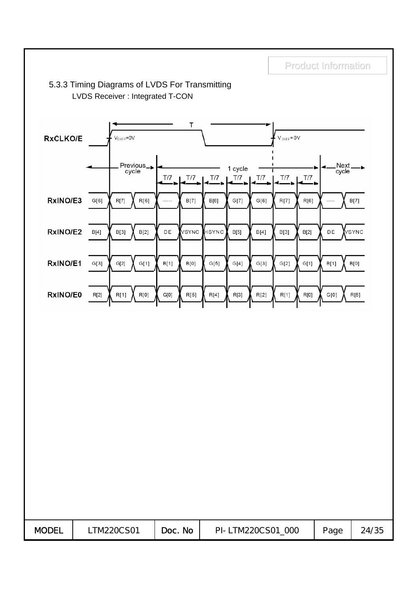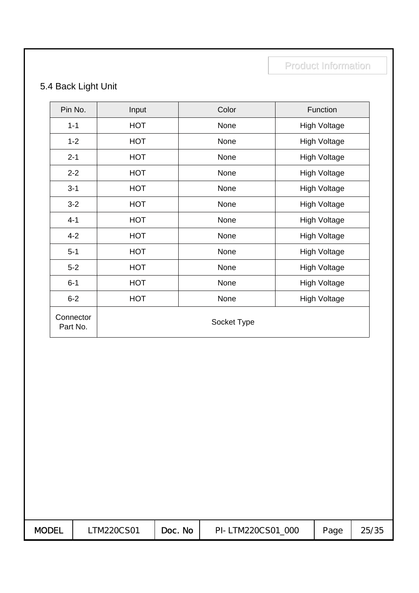# 5.4 Back Light Unit

| Pin No.               | Input      | Color       | Function            |
|-----------------------|------------|-------------|---------------------|
| $1 - 1$               | <b>HOT</b> | None        | <b>High Voltage</b> |
| $1 - 2$               | <b>HOT</b> | None        | <b>High Voltage</b> |
| $2 - 1$               | <b>HOT</b> | None        | <b>High Voltage</b> |
| $2 - 2$               | <b>HOT</b> | None        | <b>High Voltage</b> |
| $3 - 1$               | <b>HOT</b> | None        | <b>High Voltage</b> |
| $3 - 2$               | <b>HOT</b> | None        | <b>High Voltage</b> |
| $4 - 1$               | <b>HOT</b> | None        | <b>High Voltage</b> |
| $4 - 2$               | <b>HOT</b> | None        | <b>High Voltage</b> |
| $5 - 1$               | <b>HOT</b> | None        | <b>High Voltage</b> |
| $5-2$                 | <b>HOT</b> | None        | <b>High Voltage</b> |
| $6 - 1$               | <b>HOT</b> | None        | <b>High Voltage</b> |
| $6 - 2$               | <b>HOT</b> | None        | <b>High Voltage</b> |
| Connector<br>Part No. |            | Socket Type |                     |

| <b>MODEL</b><br>Page<br>Doc. No<br>25/35<br>TM220CS01<br>PI-LTM220CS01 000 |
|----------------------------------------------------------------------------|
|----------------------------------------------------------------------------|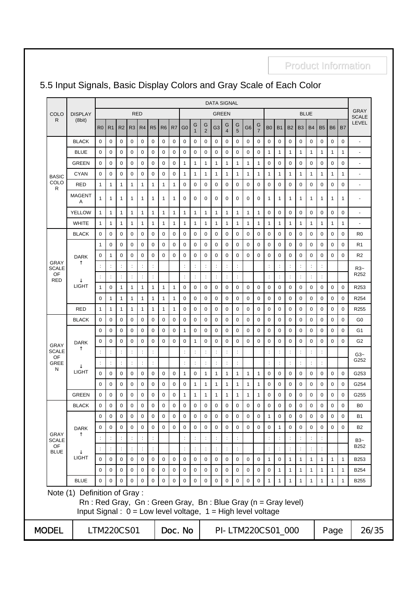|                      |                                                                                                                                                                 |                      |                      |                      |                |                      |                      |             |                |                |                      |                      | <b>DATA SIGNAL</b>   |                      |                      |                   |                     |                      |                      |                      |                |                      |              |              |                |                             |
|----------------------|-----------------------------------------------------------------------------------------------------------------------------------------------------------------|----------------------|----------------------|----------------------|----------------|----------------------|----------------------|-------------|----------------|----------------|----------------------|----------------------|----------------------|----------------------|----------------------|-------------------|---------------------|----------------------|----------------------|----------------------|----------------|----------------------|--------------|--------------|----------------|-----------------------------|
| COLO                 | <b>DISPLAY</b>                                                                                                                                                  |                      |                      |                      |                | <b>RED</b>           |                      |             |                |                |                      |                      | <b>GREEN</b>         |                      |                      |                   |                     |                      |                      |                      |                | <b>BLUE</b>          |              |              |                | <b>GRAY</b><br><b>SCALE</b> |
| R                    | (8bit)                                                                                                                                                          | R <sub>0</sub>       | R <sub>1</sub>       | R <sub>2</sub>       | R <sub>3</sub> | R4                   | R <sub>5</sub>       | R6          | R <sub>7</sub> | G <sub>0</sub> | G<br>$\mathbf{1}$    | G<br>$\overline{2}$  | G <sub>3</sub>       | G<br>$\overline{4}$  | G<br>5               | G <sub>6</sub>    | G<br>$\overline{7}$ | B <sub>0</sub>       | <b>B1</b>            | <b>B2</b>            | <b>B3</b>      | <b>B4</b>            | <b>B5</b>    | <b>B6</b>    | B <sub>7</sub> | LEVEL                       |
|                      | <b>BLACK</b>                                                                                                                                                    | $\mathbf 0$          | 0                    | 0                    | 0              | 0                    | 0                    | 0           | 0              | 0              | 0                    | 0                    | 0                    | 0                    | 0                    | 0                 | 0                   | 0                    | 0                    | 0                    | 0              | 0                    | 0            | 0            | 0              |                             |
|                      | <b>BLUE</b>                                                                                                                                                     | $\mathbf 0$          | 0                    | 0                    | 0              | 0                    | 0                    | 0           | 0              | 0              | 0                    | 0                    | 0                    | 0                    | 0                    | 0                 | 0                   | $\mathbf{1}$         | 1                    | 1                    | $\mathbf{1}$   | $\mathbf{1}$         | 1            | 1            | $\mathbf{1}$   | ÷.                          |
|                      | <b>GREEN</b>                                                                                                                                                    | $\mathbf 0$          | 0                    | $\mathbf 0$          | 0              | 0                    | 0                    | 0           | 0              | $\mathbf{1}$   | 1                    | 1                    | $\mathbf{1}$         | $\mathbf{1}$         | $\mathbf{1}$         | 1                 | $\mathbf{1}$        | 0                    | 0                    | 0                    | 0              | 0                    | $\mathbf 0$  | 0            | 0              | ٠                           |
| <b>BASIC</b>         | <b>CYAN</b>                                                                                                                                                     | $\mathbf 0$          | 0                    | 0                    | 0              | 0                    | 0                    | 0           | 0              | $\mathbf{1}$   | 1                    | 1                    | $\mathbf{1}$         | $\mathbf{1}$         | $\mathbf{1}$         | $\mathbf{1}$      | $\mathbf{1}$        | $\mathbf{1}$         | $\mathbf{1}$         | $\mathbf{1}$         | $\mathbf{1}$   | $\mathbf{1}$         | $\mathbf{1}$ | 1            | $\mathbf{1}$   | ä,                          |
| COLO<br>R            | <b>RED</b>                                                                                                                                                      | $\mathbf{1}$         | 1                    | 1                    | 1              | $\mathbf{1}$         | 1                    | 1           | 1              | $\mathbf 0$    | 0                    | 0                    | 0                    | $\mathbf 0$          | $\mathbf 0$          | 0                 | 0                   | $\mathbf 0$          | 0                    | 0                    | 0              | $\mathbf 0$          | $\mathbf 0$  | 0            | $\mathbf 0$    | ۰                           |
|                      | <b>MAGENT</b><br>A                                                                                                                                              | 1                    | 1                    | 1                    | 1              | 1                    | 1                    | 1           | 1              | 0              | 0                    | 0                    | 0                    | 0                    | 0                    | 0                 | 0                   | 1                    | $\mathbf 1$          | 1                    | 1              | $\mathbf{1}$         | 1            | 1            | $\mathbf{1}$   | ٠                           |
|                      | YELLOW                                                                                                                                                          | $\mathbf{1}$         | 1                    | 1                    | 1              | $\mathbf{1}$         | 1                    | 1           | 1              | $\mathbf{1}$   | 1                    | 1                    | 1                    | $\mathbf{1}$         | $\mathbf{1}$         | 1                 | $\mathbf{1}$        | 0                    | 0                    | 0                    | 0              | 0                    | 0            | 0            | 0              | ٠                           |
|                      | <b>WHITE</b>                                                                                                                                                    | 1                    | 1                    | 1                    | 1              | 1                    | 1                    | 1           | 1              | $\mathbf{1}$   | $\mathbf{1}$         | 1                    | 1                    | $\mathbf{1}$         | $\mathbf{1}$         | 1                 | $\mathbf{1}$        | $\mathbf{1}$         | 1                    | 1                    | $\mathbf{1}$   | 1                    | 1            | 1            | $\mathbf{1}$   | $\sim$                      |
|                      | <b>BLACK</b>                                                                                                                                                    | $\mathbf 0$          | 0                    | 0                    | 0              | 0                    | 0                    | 0           | 0              | 0              | 0                    | 0                    | 0                    | 0                    | 0                    | 0                 | 0                   | 0                    | 0                    | 0                    | $\mathbf 0$    | 0                    | 0            | 0            | 0              | R <sub>0</sub>              |
|                      |                                                                                                                                                                 | $\mathbf{1}$         | $\mathbf 0$          | $\mathbf 0$          | 0              | 0                    | $\mathbf 0$          | $\mathbf 0$ | 0              | $\mathbf 0$    | $\mathbf 0$          | 0                    | 0                    | $\mathbf 0$          | $\mathbf 0$          | 0                 | $\mathbf 0$         | $\mathbf 0$          | $\mathbf 0$          | 0                    | $\mathbf 0$    | $\mathbf 0$          | 0            | 0            | $\mathbf 0$    | R <sub>1</sub>              |
|                      | <b>DARK</b>                                                                                                                                                     | $\mathbf 0$          | 1                    | $\mathbf 0$          | 0              | 0                    | $\mathbf 0$          | 0           | $\mathbf 0$    | $\mathbf 0$    | $\mathbf 0$          | $\mathbf 0$          | $\mathbf 0$          | $\mathbf 0$          | $\mathbf 0$          | 0                 | $\mathbf 0$         | $\mathbf 0$          | $\mathbf 0$          | 0                    | $\mathbf 0$    | $\mathbf 0$          | $\mathbf 0$  | 0            | 0              | R <sub>2</sub>              |
| <b>GRAY</b><br>SCALE |                                                                                                                                                                 |                      | $\ddot{\cdot}$       |                      |                | ÷                    | $\ddot{\cdot}$       |             |                | ÷              | ÷                    | $\ddot{\cdot}$       | $\ddot{\cdot}$       | $\ddot{\phantom{a}}$ | $\ddot{\phantom{a}}$ |                   |                     | $\ddot{\cdot}$       |                      | $\ddot{\cdot}$       |                | ÷                    |              |              |                | $R3-$                       |
| OF<br><b>RED</b>     |                                                                                                                                                                 |                      | $\ddot{\cdot}$       |                      |                |                      | $\ddot{\cdot}$       |             |                | ÷              | ÷                    | ÷                    |                      | ÷                    |                      |                   |                     | $\ddot{\cdot}$       |                      | $\ddot{\cdot}$       |                | ÷                    |              |              |                | R252                        |
|                      | LIGHT                                                                                                                                                           | $\mathbf{1}$         | 0                    | 1                    | 1              | $\mathbf{1}$         | 1                    | 1           | $\mathbf{1}$   | 0              | 0                    | 0                    | 0                    | 0                    | 0                    | 0                 | 0                   | 0                    | 0                    | 0                    | 0              | 0                    | 0            | 0            | $\mathbf 0$    | R253                        |
|                      |                                                                                                                                                                 | $\mathbf 0$          | 1                    | 1                    | 1              | $\mathbf{1}$         | 1                    | 1           | 1              | 0              | 0                    | 0                    | 0                    | 0                    | 0                    | 0                 | 0                   | 0                    | 0                    | 0                    | 0              | $\mathbf 0$          | 0            | 0            | $\mathbf 0$    | R <sub>254</sub>            |
|                      | RED                                                                                                                                                             | $\mathbf{1}$         | $\mathbf{1}$         | $\mathbf{1}$         | 1              | $\mathbf{1}$         | 1                    | 1           | 1              | 0              | 0                    | 0                    | 0                    | 0                    | 0                    | 0                 | $\mathbf 0$         | 0                    | 0                    | 0                    | 0              | 0                    | $\mathbf 0$  | 0            | $\mathbf 0$    | R255                        |
|                      | <b>BLACK</b>                                                                                                                                                    | $\mathbf 0$          | 0                    | $\mathbf 0$          | 0              | 0                    | 0                    | 0           | 0              | 0              | 0                    | 0                    | 0                    | 0                    | 0                    | 0                 | 0                   | $\mathbf 0$          | 0                    | 0                    | 0              | $\mathbf 0$          | $\mathbf 0$  | 0            | $\mathbf 0$    | G0                          |
|                      |                                                                                                                                                                 | $\mathbf 0$          | $\mathbf 0$          | $\mathbf 0$          | 0              | 0                    | 0                    | 0           | 0              | $\mathbf{1}$   | $\mathbf 0$          | 0                    | 0                    | 0                    | 0                    | 0                 | $\mathbf 0$         | $\mathbf 0$          | 0                    | 0                    | 0              | $\mathbf 0$          | $\mathbf 0$  | 0            | $\mathbf 0$    | G1                          |
| <b>GRAY</b>          | <b>DARK</b>                                                                                                                                                     | 0                    | $\mathbf 0$          | $\mathbf 0$          | 0              | $\mathbf 0$          | 0                    | 0           | 0              | 0              | 1                    | 0                    | 0                    | $\mathbf 0$          | 0                    | 0                 | 0                   | $\mathbf 0$          | 0                    | 0                    | $\mathbf 0$    | $\mathbf 0$          | 0            | 0            | $\mathbf 0$    | G2                          |
| <b>SCALE</b><br>OF   |                                                                                                                                                                 | $\ddot{\cdot}$       | $\ddot{\cdot}$       |                      | $\ddot{\cdot}$ |                      | $\ddot{\phantom{a}}$ |             |                | $\ddot{\cdot}$ | ÷                    | $\ddot{\phantom{a}}$ | ÷                    | $\ddot{\phantom{a}}$ | $\ddot{\phantom{a}}$ |                   |                     | $\ddot{\phantom{a}}$ | $\ddot{\cdot}$       | $\ddot{\phantom{a}}$ | $\ddot{\cdot}$ | ÷                    |              |              |                | $G3-$                       |
| <b>GREE</b><br>N     |                                                                                                                                                                 |                      | $\ddot{\phantom{a}}$ |                      |                | $\ddot{\phantom{a}}$ | $\ddot{\cdot}$       |             |                | ÷              | $\ddot{\phantom{a}}$ | t                    |                      | $\ddot{\phantom{a}}$ | $\ddot{\cdot}$       |                   |                     | $\ddot{\phantom{a}}$ |                      | $\ddot{\cdot}$       |                | $\ddot{\cdot}$       |              |              |                | G252                        |
|                      | LIGHT                                                                                                                                                           | 0                    | 0                    | 0                    | 0              | 0                    | 0                    | 0           | 0              | $\mathbf{1}$   | 0                    | 1                    | 1                    | 1                    | $\mathbf{1}$         | 1                 | $\mathbf{1}$        | 0                    | 0                    | 0                    | 0              | 0                    | 0            | 0            | $\mathbf 0$    | G253                        |
|                      |                                                                                                                                                                 | $\mathbf 0$          | $\mathbf 0$          | $\mathbf 0$          | 0              | 0                    | 0                    | 0           | 0              | 0              | $\mathbf{1}$         | 1                    | $\mathbf{1}$         | $\mathbf{1}$         | $\mathbf{1}$         | 1                 | $\mathbf{1}$        | $\mathbf 0$          | $\mathbf 0$          | 0                    | $\mathbf 0$    | $\mathbf 0$          | $\mathbf 0$  | 0            | 0              | G254                        |
|                      | <b>GREEN</b>                                                                                                                                                    | 0                    | 0                    | 0                    | 0              | 0                    | 0                    | 0           | 0              | 1              | 1                    | 1                    | 1                    | 1                    | 1                    | 1                 | 1                   | 0                    | 0                    | 0                    | 0              | 0                    | 0            | 0            | 0              | G255                        |
|                      | <b>BLACK</b>                                                                                                                                                    | 0                    | $\mathbf 0$          | $\mathbf 0$          | 0              | 0                    | 0                    | 0           | 0              | 0              | 0                    | 0                    | $\mathbf 0$          | 0                    | $\mathbf 0$          | 0                 | 0                   | 0                    | $\mathbf 0$          | 0                    | 0              | $\mathbf 0$          | 0            | 0            | 0              | B <sub>0</sub>              |
|                      |                                                                                                                                                                 | 0                    | $\mathbf 0$          | $\mathbf 0$          | 0              | 0                    | 0                    | 0           | 0              | 0              | 0                    | 0                    | 0                    | 0                    | 0                    | 0                 | $\mathbf 0$         | $\mathbf{1}$         | $\pmb{0}$            | 0                    | $\mathbf 0$    | $\mathbf 0$          | 0            | 0            | $\mathbf 0$    | <b>B1</b>                   |
| GRAY                 | <b>DARK</b>                                                                                                                                                     | $\pmb{0}$            | $\mathbf 0$          | $\mathbf 0$          | $\mathbf 0$    | $\mathbf 0$          | $\mathsf 0$          | $\mathbf 0$ | $\mathbf 0$    | $\mathsf 0$    | $\mathsf 0$          | $\mathbf 0$          | $\boldsymbol{0}$     | $\mathbf 0$          | $\mathbf 0$          | 0                 | $\mathbf 0$         | $\mathbf 0$          | $\mathbf{1}$         | $\pmb{0}$            | $\mathbf 0$    | $\mathbf 0$          | $\mathbf 0$  | $\mathbf 0$  | $\mathbf 0$    | <b>B2</b>                   |
| <b>SCALE</b><br>OF   |                                                                                                                                                                 |                      | $\ddot{\phantom{a}}$ |                      | $\ddot{\cdot}$ | $\ddot{\phantom{a}}$ | $\ddot{\cdot}$       |             |                | ÷              | $\ddot{\cdot}$       | $\ddot{\cdot}$       | $\ddot{\cdot}$       | ÷                    | $\ddot{\cdot}$       |                   |                     | ÷                    |                      | $\ddot{\cdot}$       |                | $\ddot{\cdot}$       |              |              |                | $B3-$<br>B252               |
| <b>BLUE</b>          |                                                                                                                                                                 | $\ddot{\phantom{a}}$ | $\ddot{\phantom{a}}$ | $\ddot{\phantom{a}}$ | $\ddot{\cdot}$ | ÷                    | $\ddot{\cdot}$       |             |                | ÷              | $\ddot{\cdot}$       | $\ddot{\cdot}$       | $\ddot{\phantom{a}}$ | $\ddot{\phantom{a}}$ | $\ddot{\phantom{a}}$ |                   |                     | $\ddot{\cdot}$       | $\ddot{\phantom{a}}$ | $\ddot{\cdot}$       | $\ddot{\cdot}$ | $\ddot{\phantom{a}}$ |              |              |                |                             |
|                      | <b>LIGHT</b>                                                                                                                                                    | $\mathbf 0$          | $\mathbf 0$          | $\mathbf 0$          | 0              | $\mathbf 0$          | $\mathbf 0$          | $\mathbf 0$ | 0              | $\mathbf 0$    | 0                    | 0                    | 0                    | 0                    | $\mathbf 0$          | $\mathbf 0$       | $\mathbf 0$         | $\mathbf{1}$         | $\pmb{0}$            | 1                    | $\mathbf{1}$   | $\mathbf{1}$         | $\mathbf{1}$ | $\mathbf{1}$ | $\mathbf{1}$   | B253                        |
|                      |                                                                                                                                                                 | $\mathbf 0$          | $\mathbf 0$          | $\mathbf 0$          | $\mathbf 0$    | $\mathsf 0$          | $\mathbf 0$          | $\mathbf 0$ | $\mathsf 0$    | $\mathsf 0$    | $\mathbf 0$          | $\mathbf 0$          | $\mathsf 0$          | $\pmb{0}$            | $\mathbf 0$          | 0                 | $\mathbf 0$         | $\mathbf 0$          | $\mathbf{1}$         | $\mathbf{1}$         | $\mathbf{1}$   | $\mathbf{1}$         | $\mathbf{1}$ | 1            | $\mathbf{1}$   | <b>B254</b>                 |
|                      | <b>BLUE</b>                                                                                                                                                     | 0                    | $\mathsf 0$          | $\mathbf 0$          | 0              | 0                    | 0                    | 0           | 0              | $\mathbf 0$    | $\pmb{0}$            | $\pmb{0}$            | $\mathsf{O}\xspace$  | $\mathbf 0$          | $\pmb{0}$            | 0                 | $\mathbf 0$         | $\mathbf{1}$         | $\mathbf{1}$         | 1                    | $\mathbf{1}$   | $\mathbf{1}$         | 1            | $\mathbf{1}$ | $\mathbf{1}$   | B <sub>255</sub>            |
|                      | Note (1) Definition of Gray:<br>Rn: Red Gray, Gn: Green Gray, Bn: Blue Gray (n = Gray level)<br>Input Signal: $0 = Low$ level voltage, $1 = High$ level voltage |                      |                      |                      |                |                      |                      |             |                |                |                      |                      |                      |                      |                      |                   |                     |                      |                      |                      |                |                      |              |              |                |                             |
| <b>MODEL</b>         |                                                                                                                                                                 | LTM220CS01           |                      |                      |                |                      |                      |             | Doc. No        |                |                      |                      |                      |                      |                      | PI-LTM220CS01_000 |                     |                      |                      |                      |                |                      |              | Page         |                | 26/35                       |

# 5.5 Input Signals, Basic Display Colors and Gray Scale of Each Color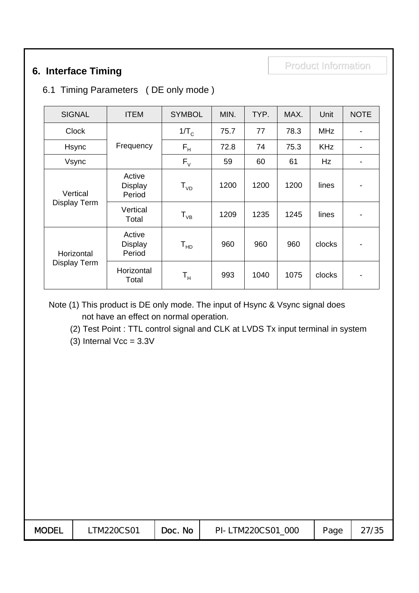# Product Information Product Information **6. Interface Timing**

#### 6.1 Timing Parameters ( DE only mode )

| <b>SIGNAL</b>                     | <b>ITEM</b>                        | <b>SYMBOL</b>               | MIN. | TYP. | MAX. | Unit       | <b>NOTE</b>              |
|-----------------------------------|------------------------------------|-----------------------------|------|------|------|------------|--------------------------|
| <b>Clock</b>                      |                                    | $1/T_c$                     | 75.7 | 77   | 78.3 | <b>MHz</b> | $\overline{\phantom{a}}$ |
| Hsync                             | Frequency                          | $F_H$                       | 72.8 | 74   | 75.3 | <b>KHz</b> |                          |
| Vsync                             |                                    | $F_{V}$                     | 59   | 60   | 61   | Hz         | $\overline{\phantom{a}}$ |
| Vertical<br>Display Term          | Active<br><b>Display</b><br>Period | ${\sf T}_{{\sf v} {\sf D}}$ | 1200 | 1200 | 1200 | lines      | $\overline{\phantom{a}}$ |
|                                   | Vertical<br>Total                  | $T_{VB}$                    | 1209 | 1235 | 1245 | lines      |                          |
| Horizontal<br><b>Display Term</b> | Active<br><b>Display</b><br>Period | ${\tt T_{HD}}$              | 960  | 960  | 960  | clocks     | $\overline{\phantom{a}}$ |
|                                   | Horizontal<br>Total                | $\mathsf{T}_\mathsf{H}$     | 993  | 1040 | 1075 | clocks     | $\overline{\phantom{a}}$ |

Note (1) This product is DE only mode. The input of Hsync & Vsync signal does not have an effect on normal operation.

(2) Test Point : TTL control signal and CLK at LVDS Tx input terminal in system

(3) Internal  $Vec = 3.3V$ 

| <b>MODEL</b><br>Page |  | TM220CS01 | Doc. No | PI-LTM220CS01<br>000 |  | 27/35 |
|----------------------|--|-----------|---------|----------------------|--|-------|
|----------------------|--|-----------|---------|----------------------|--|-------|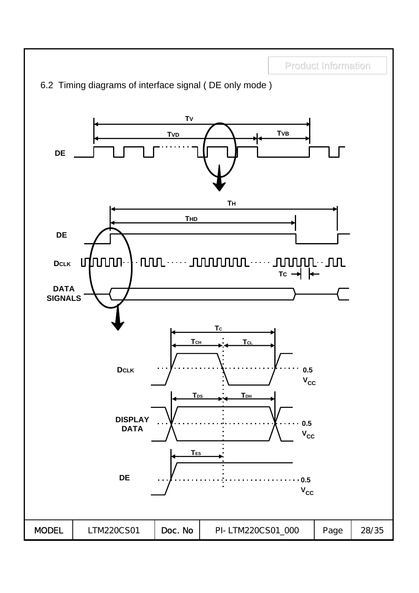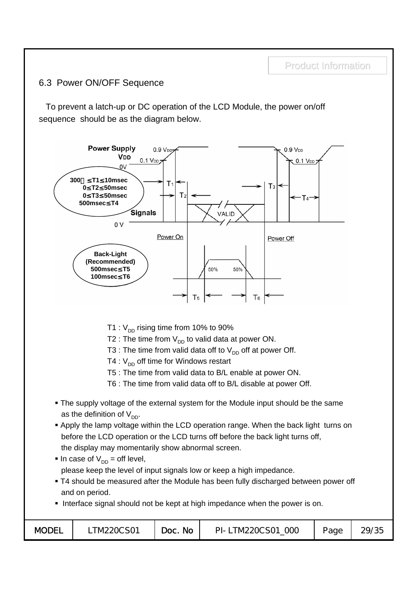#### 6.3 Power ON/OFF Sequence

To prevent a latch-up or DC operation of the LCD Module, the power on/off sequence should be as the diagram below.

Product Information



- T1 :  $V_{DD}$  rising time from 10% to 90%
- T2 : The time from  $V_{DD}$  to valid data at power ON.
- T3 : The time from valid data off to  $V_{DD}$  off at power Off.
- T4 :  $V_{DD}$  off time for Windows restart
- T5 : The time from valid data to B/L enable at power ON.
- T6 : The time from valid data off to B/L disable at power Off.
- The supply voltage of the external system for the Module input should be the same as the definition of  $V_{DD}$ .
- **Apply the lamp voltage within the LCD operation range. When the back light turns on** before the LCD operation or the LCD turns off before the back light turns off, the display may momentarily show abnormal screen.
- In case of  $V_{DD} =$  off level, please keep the level of input signals low or keep a high impedance.
- T4 should be measured after the Module has been fully discharged between power off and on period.
- Interface signal should not be kept at high impedance when the power is on.

| <b>MODEL</b> | TM220CS01 | <b>No</b><br>Doc. | .TM220CS01<br>000<br>PI-T | Page | 29/35 |
|--------------|-----------|-------------------|---------------------------|------|-------|
|--------------|-----------|-------------------|---------------------------|------|-------|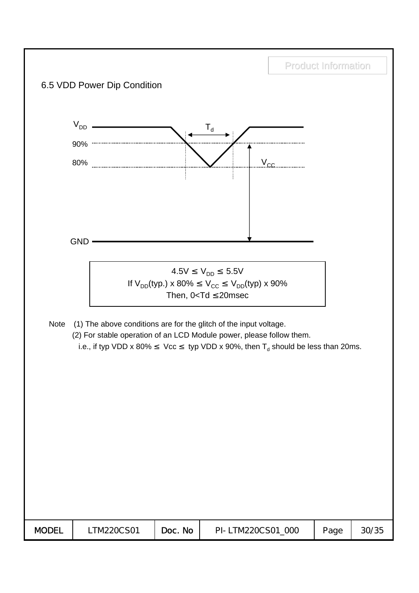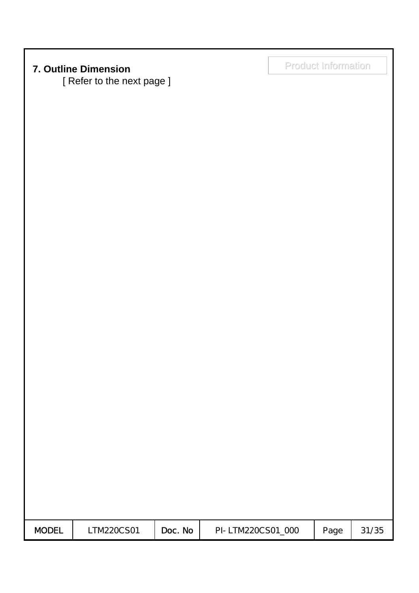# Product Information Product Information **7. Outline Dimension**

[ Refer to the next page ]

| <b>MODEL</b> | TM220CS01 | Doc. No | PI-LTM220CS01 000 | Page | 31/35 |
|--------------|-----------|---------|-------------------|------|-------|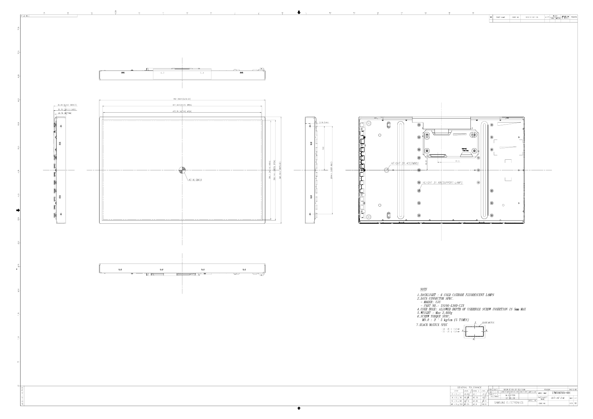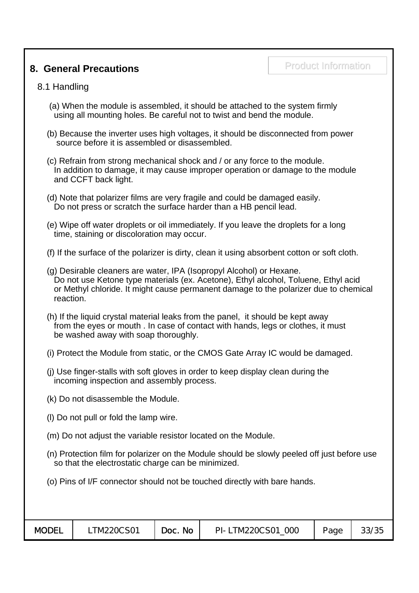### **8. General Precautions**

#### 8.1 Handling

- (a) When the module is assembled, it should be attached to the system firmly using all mounting holes. Be careful not to twist and bend the module.
- (b) Because the inverter uses high voltages, it should be disconnected from power source before it is assembled or disassembled.
- (c) Refrain from strong mechanical shock and / or any force to the module. In addition to damage, it may cause improper operation or damage to the module and CCFT back light.
- (d) Note that polarizer films are very fragile and could be damaged easily. Do not press or scratch the surface harder than a HB pencil lead.
- (e) Wipe off water droplets or oil immediately. If you leave the droplets for a long time, staining or discoloration may occur.
- (f) If the surface of the polarizer is dirty, clean it using absorbent cotton or soft cloth.
- (g) Desirable cleaners are water, IPA (Isopropyl Alcohol) or Hexane. Do not use Ketone type materials (ex. Acetone), Ethyl alcohol, Toluene, Ethyl acid or Methyl chloride. It might cause permanent damage to the polarizer due to chemical reaction.
- (h) If the liquid crystal material leaks from the panel, it should be kept away from the eyes or mouth . In case of contact with hands, legs or clothes, it must be washed away with soap thoroughly.
- (i) Protect the Module from static, or the CMOS Gate Array IC would be damaged.
- (j) Use finger-stalls with soft gloves in order to keep display clean during the incoming inspection and assembly process.
- (k) Do not disassemble the Module.
- (l) Do not pull or fold the lamp wire.
- (m) Do not adjust the variable resistor located on the Module.
- (n) Protection film for polarizer on the Module should be slowly peeled off just before use so that the electrostatic charge can be minimized.
- (o) Pins of I/F connector should not be touched directly with bare hands.

| <b>MODEL</b><br>TM220CS01 | <b>No</b><br>Doc. | LTM220CS01 000<br>$PI - I$ | Page | 33/35 |
|---------------------------|-------------------|----------------------------|------|-------|
|---------------------------|-------------------|----------------------------|------|-------|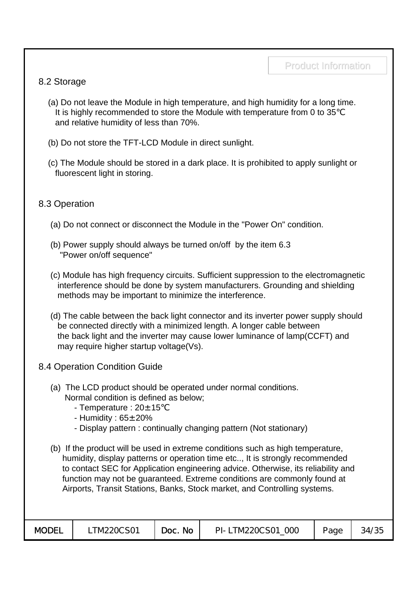#### 8.2 Storage

- (a) Do not leave the Module in high temperature, and high humidity for a long time. It is highly recommended to store the Module with temperature from 0 to 35 and relative humidity of less than 70%.
- (b) Do not store the TFT-LCD Module in direct sunlight.
- (c) The Module should be stored in a dark place. It is prohibited to apply sunlight or fluorescent light in storing.

#### 8.3 Operation

- (a) Do not connect or disconnect the Module in the "Power On" condition.
- (b) Power supply should always be turned on/off by the item 6.3 "Power on/off sequence"
- (c) Module has high frequency circuits. Sufficient suppression to the electromagnetic interference should be done by system manufacturers. Grounding and shielding methods may be important to minimize the interference.
- (d) The cable between the back light connector and its inverter power supply should be connected directly with a minimized length. A longer cable between the back light and the inverter may cause lower luminance of lamp(CCFT) and may require higher startup voltage(Vs).
- 8.4 Operation Condition Guide
	- (a) The LCD product should be operated under normal conditions. Normal condition is defined as below;
		- Temperature :  $20 \pm 15$
		- Humidity :  $65 \pm 20\%$
		- Display pattern : continually changing pattern (Not stationary)
	- (b) If the product will be used in extreme conditions such as high temperature, humidity, display patterns or operation time etc.., It is strongly recommended to contact SEC for Application engineering advice. Otherwise, its reliability and function may not be guaranteed. Extreme conditions are commonly found at Airports, Transit Stations, Banks, Stock market, and Controlling systems.

| <b>MODEL</b> | TM220CS01 | No<br>Doc. | PI-LTM220CS01 000 | Page | 34/35 |
|--------------|-----------|------------|-------------------|------|-------|
|              |           |            |                   |      |       |